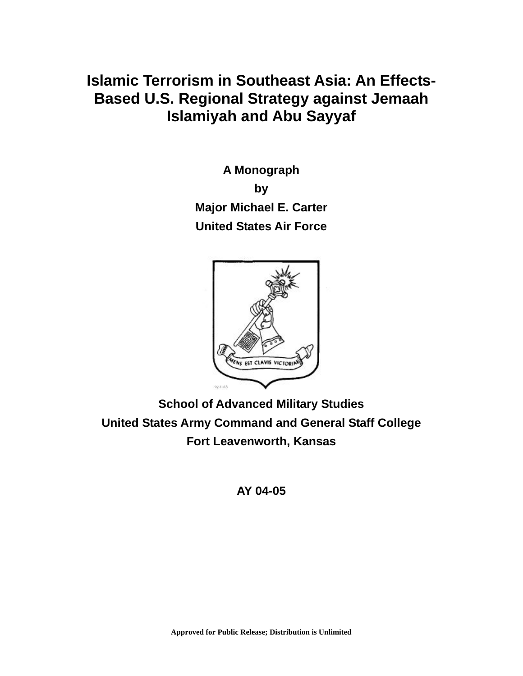# **Islamic Terrorism in Southeast Asia: An Effects-Based U.S. Regional Strategy against Jemaah Islamiyah and Abu Sayyaf**

**A Monograph by Major Michael E. Carter United States Air Force** 



**School of Advanced Military Studies United States Army Command and General Staff College Fort Leavenworth, Kansas** 

# **AY 04-05**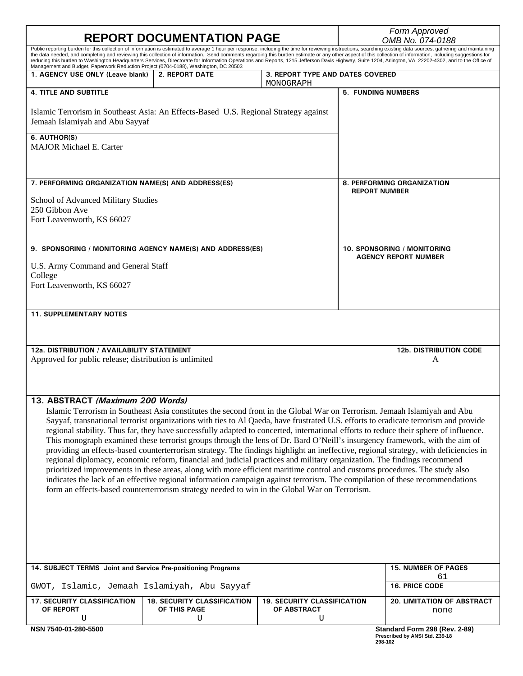| <b>REPORT DOCUMENTATION PAGE</b>                                                                                                                                                                                                                                                                                                                                                                                                 |                                                    |                                                   | Form Approved<br>OMB No. 074-0188                          |                                                                 |  |
|----------------------------------------------------------------------------------------------------------------------------------------------------------------------------------------------------------------------------------------------------------------------------------------------------------------------------------------------------------------------------------------------------------------------------------|----------------------------------------------------|---------------------------------------------------|------------------------------------------------------------|-----------------------------------------------------------------|--|
| Public reporting burden for this collection of information is estimated to average 1 hour per response, including the time for reviewing instructions, searching existing data sources, gathering and maintaining<br>the data needed, and completing and reviewing this collection of information. Send comments regarding this burden estimate or any other aspect of this collection of information, including suggestions for |                                                    |                                                   |                                                            |                                                                 |  |
| reducing this burden to Washington Headquarters Services, Directorate for Information Operations and Reports, 1215 Jefferson Davis Highway, Suite 1204, Arlington, VA 22202-4302, and to the Office of<br>Management and Budget, Paperwork Reduction Project (0704-0188), Washington, DC 20503                                                                                                                                   |                                                    |                                                   |                                                            |                                                                 |  |
| 1. AGENCY USE ONLY (Leave blank)                                                                                                                                                                                                                                                                                                                                                                                                 | <b>2. REPORT DATE</b>                              | 3. REPORT TYPE AND DATES COVERED<br>MONOGRAPH     |                                                            |                                                                 |  |
| <b>4. TITLE AND SUBTITLE</b>                                                                                                                                                                                                                                                                                                                                                                                                     |                                                    |                                                   | 5. FUNDING NUMBERS                                         |                                                                 |  |
| Islamic Terrorism in Southeast Asia: An Effects-Based U.S. Regional Strategy against<br>Jemaah Islamiyah and Abu Sayyaf                                                                                                                                                                                                                                                                                                          |                                                    |                                                   |                                                            |                                                                 |  |
| 6. AUTHOR(S)<br><b>MAJOR Michael E. Carter</b>                                                                                                                                                                                                                                                                                                                                                                                   |                                                    |                                                   |                                                            |                                                                 |  |
| 7. PERFORMING ORGANIZATION NAME(S) AND ADDRESS(ES)                                                                                                                                                                                                                                                                                                                                                                               |                                                    |                                                   | <b>8. PERFORMING ORGANIZATION</b><br><b>REPORT NUMBER</b>  |                                                                 |  |
| School of Advanced Military Studies<br>250 Gibbon Ave                                                                                                                                                                                                                                                                                                                                                                            |                                                    |                                                   |                                                            |                                                                 |  |
| Fort Leavenworth, KS 66027                                                                                                                                                                                                                                                                                                                                                                                                       |                                                    |                                                   |                                                            |                                                                 |  |
| 9. SPONSORING / MONITORING AGENCY NAME(S) AND ADDRESS(ES)                                                                                                                                                                                                                                                                                                                                                                        |                                                    |                                                   | 10. SPONSORING / MONITORING<br><b>AGENCY REPORT NUMBER</b> |                                                                 |  |
| U.S. Army Command and General Staff                                                                                                                                                                                                                                                                                                                                                                                              |                                                    |                                                   |                                                            |                                                                 |  |
| College<br>Fort Leavenworth, KS 66027                                                                                                                                                                                                                                                                                                                                                                                            |                                                    |                                                   |                                                            |                                                                 |  |
| <b>11. SUPPLEMENTARY NOTES</b>                                                                                                                                                                                                                                                                                                                                                                                                   |                                                    |                                                   |                                                            |                                                                 |  |
|                                                                                                                                                                                                                                                                                                                                                                                                                                  |                                                    |                                                   |                                                            |                                                                 |  |
| 12a. DISTRIBUTION / AVAILABILITY STATEMENT<br>Approved for public release; distribution is unlimited                                                                                                                                                                                                                                                                                                                             |                                                    |                                                   |                                                            | <b>12b. DISTRIBUTION CODE</b><br>A                              |  |
|                                                                                                                                                                                                                                                                                                                                                                                                                                  |                                                    |                                                   |                                                            |                                                                 |  |
| 13. ABSTRACT (Maximum 200 Words)                                                                                                                                                                                                                                                                                                                                                                                                 |                                                    |                                                   |                                                            |                                                                 |  |
| Islamic Terrorism in Southeast Asia constitutes the second front in the Global War on Terrorism. Jemaah Islamiyah and Abu<br>Sayyaf, transnational terrorist organizations with ties to Al Qaeda, have frustrated U.S. efforts to eradicate terrorism and provide                                                                                                                                                                |                                                    |                                                   |                                                            |                                                                 |  |
| regional stability. Thus far, they have successfully adapted to concerted, international efforts to reduce their sphere of influence.                                                                                                                                                                                                                                                                                            |                                                    |                                                   |                                                            |                                                                 |  |
| This monograph examined these terrorist groups through the lens of Dr. Bard O'Neill's insurgency framework, with the aim of<br>providing an effects-based counterterrorism strategy. The findings highlight an ineffective, regional strategy, with deficiencies in                                                                                                                                                              |                                                    |                                                   |                                                            |                                                                 |  |
| regional diplomacy, economic reform, financial and judicial practices and military organization. The findings recommend                                                                                                                                                                                                                                                                                                          |                                                    |                                                   |                                                            |                                                                 |  |
| prioritized improvements in these areas, along with more efficient maritime control and customs procedures. The study also                                                                                                                                                                                                                                                                                                       |                                                    |                                                   |                                                            |                                                                 |  |
| indicates the lack of an effective regional information campaign against terrorism. The compilation of these recommendations<br>form an effects-based counterterrorism strategy needed to win in the Global War on Terrorism.                                                                                                                                                                                                    |                                                    |                                                   |                                                            |                                                                 |  |
|                                                                                                                                                                                                                                                                                                                                                                                                                                  |                                                    |                                                   |                                                            |                                                                 |  |
|                                                                                                                                                                                                                                                                                                                                                                                                                                  |                                                    |                                                   |                                                            |                                                                 |  |
|                                                                                                                                                                                                                                                                                                                                                                                                                                  |                                                    |                                                   |                                                            |                                                                 |  |
|                                                                                                                                                                                                                                                                                                                                                                                                                                  |                                                    |                                                   |                                                            |                                                                 |  |
|                                                                                                                                                                                                                                                                                                                                                                                                                                  |                                                    |                                                   |                                                            |                                                                 |  |
| 14. SUBJECT TERMS Joint and Service Pre-positioning Programs                                                                                                                                                                                                                                                                                                                                                                     |                                                    |                                                   |                                                            | <b>15. NUMBER OF PAGES</b><br>61                                |  |
| GWOT, Islamic, Jemaah Islamiyah, Abu Sayyaf                                                                                                                                                                                                                                                                                                                                                                                      |                                                    |                                                   |                                                            | <b>16. PRICE CODE</b>                                           |  |
| <b>17. SECURITY CLASSIFICATION</b><br>OF REPORT                                                                                                                                                                                                                                                                                                                                                                                  | <b>18. SECURITY CLASSIFICATION</b><br>OF THIS PAGE | <b>19. SECURITY CLASSIFICATION</b><br>OF ABSTRACT |                                                            | 20. LIMITATION OF ABSTRACT                                      |  |
| U                                                                                                                                                                                                                                                                                                                                                                                                                                | U                                                  | U                                                 |                                                            | none                                                            |  |
| NSN 7540-01-280-5500                                                                                                                                                                                                                                                                                                                                                                                                             |                                                    |                                                   | 298-102                                                    | Standard Form 298 (Rev. 2-89)<br>Prescribed by ANSI Std. Z39-18 |  |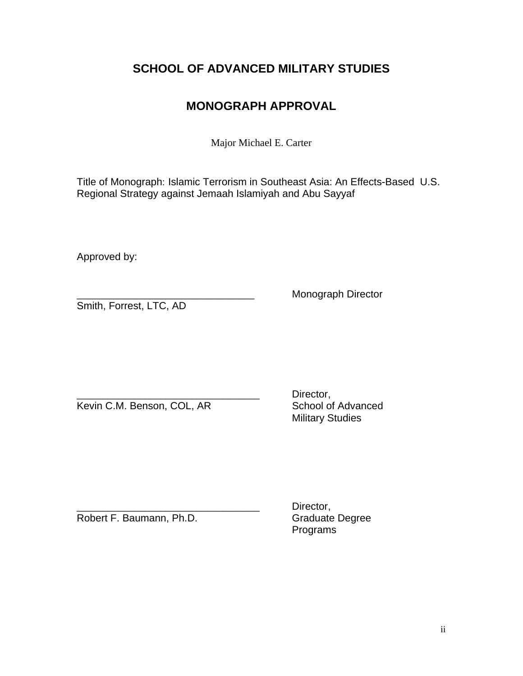# **SCHOOL OF ADVANCED MILITARY STUDIES**

# **MONOGRAPH APPROVAL**

Major Michael E. Carter

Title of Monograph: Islamic Terrorism in Southeast Asia: An Effects-Based U.S. Regional Strategy against Jemaah Islamiyah and Abu Sayyaf

Approved by:

Smith, Forrest, LTC, AD

\_\_\_\_\_\_\_\_\_\_\_\_\_\_\_\_\_\_\_\_\_\_\_\_\_\_\_\_\_\_\_\_\_\_ Monograph Director

Kevin C.M. Benson, COL, AR

Director,<br>School of Advanced Military Studies

Robert F. Baumann, Ph.D.

Director,<br>Graduate Degree Programs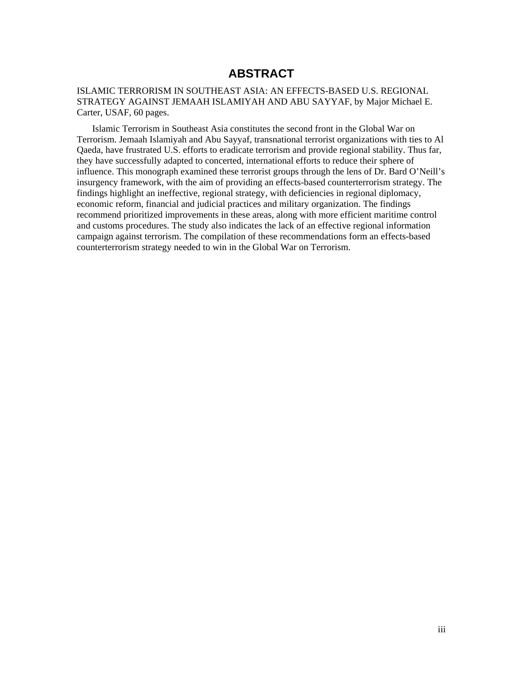# **ABSTRACT**

### ISLAMIC TERRORISM IN SOUTHEAST ASIA: AN EFFECTS-BASED U.S. REGIONAL STRATEGY AGAINST JEMAAH ISLAMIYAH AND ABU SAYYAF, by Major Michael E. Carter, USAF, 60 pages.

Islamic Terrorism in Southeast Asia constitutes the second front in the Global War on Terrorism. Jemaah Islamiyah and Abu Sayyaf, transnational terrorist organizations with ties to Al Qaeda, have frustrated U.S. efforts to eradicate terrorism and provide regional stability. Thus far, they have successfully adapted to concerted, international efforts to reduce their sphere of influence. This monograph examined these terrorist groups through the lens of Dr. Bard O'Neill's insurgency framework, with the aim of providing an effects-based counterterrorism strategy. The findings highlight an ineffective, regional strategy, with deficiencies in regional diplomacy, economic reform, financial and judicial practices and military organization. The findings recommend prioritized improvements in these areas, along with more efficient maritime control and customs procedures. The study also indicates the lack of an effective regional information campaign against terrorism. The compilation of these recommendations form an effects-based counterterrorism strategy needed to win in the Global War on Terrorism.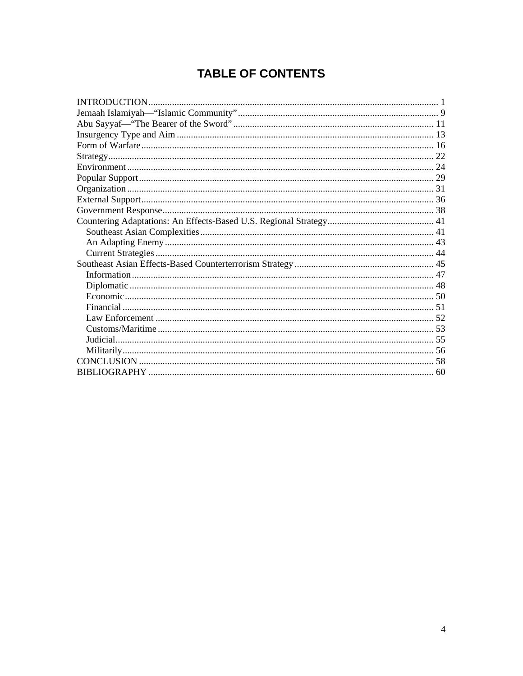# **TABLE OF CONTENTS**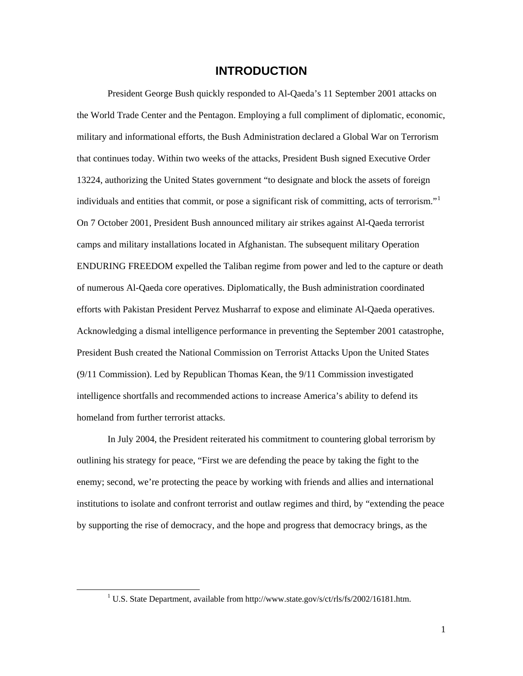# **INTRODUCTION**

<span id="page-5-0"></span>President George Bush quickly responded to Al-Qaeda's 11 September 2001 attacks on the World Trade Center and the Pentagon. Employing a full compliment of diplomatic, economic, military and informational efforts, the Bush Administration declared a Global War on Terrorism that continues today. Within two weeks of the attacks, President Bush signed Executive Order 13224, authorizing the United States government "to designate and block the assets of foreign individuals and entities that commit, or pose a significant risk of committing, acts of terrorism."[1](#page-5-1) On 7 October 2001, President Bush announced military air strikes against Al-Qaeda terrorist camps and military installations located in Afghanistan. The subsequent military Operation ENDURING FREEDOM expelled the Taliban regime from power and led to the capture or death of numerous Al-Qaeda core operatives. Diplomatically, the Bush administration coordinated efforts with Pakistan President Pervez Musharraf to expose and eliminate Al-Qaeda operatives. Acknowledging a dismal intelligence performance in preventing the September 2001 catastrophe, President Bush created the National Commission on Terrorist Attacks Upon the United States (9/11 Commission). Led by Republican Thomas Kean, the 9/11 Commission investigated intelligence shortfalls and recommended actions to increase America's ability to defend its homeland from further terrorist attacks.

In July 2004, the President reiterated his commitment to countering global terrorism by outlining his strategy for peace, "First we are defending the peace by taking the fight to the enemy; second, we're protecting the peace by working with friends and allies and international institutions to isolate and confront terrorist and outlaw regimes and third, by "extending the peace by supporting the rise of democracy, and the hope and progress that democracy brings, as the

1

<span id="page-5-1"></span><sup>&</sup>lt;u>1</u> <sup>1</sup> U.S. State Department, available from http://www.state.gov/s/ct/rls/fs/2002/16181.htm.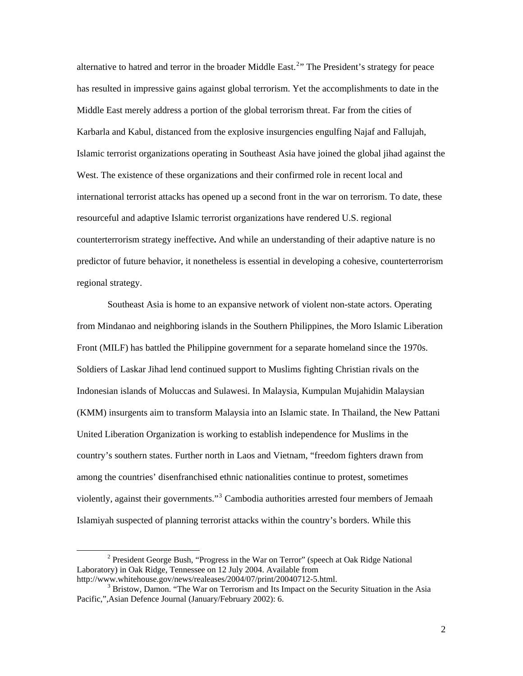alternative to hatred and terror in the broader Middle East.<sup>[2](#page-6-0)</sup>" The President's strategy for peace has resulted in impressive gains against global terrorism. Yet the accomplishments to date in the Middle East merely address a portion of the global terrorism threat. Far from the cities of Karbarla and Kabul, distanced from the explosive insurgencies engulfing Najaf and Fallujah, Islamic terrorist organizations operating in Southeast Asia have joined the global jihad against the West. The existence of these organizations and their confirmed role in recent local and international terrorist attacks has opened up a second front in the war on terrorism. To date, these resourceful and adaptive Islamic terrorist organizations have rendered U.S. regional counterterrorism strategy ineffective**.** And while an understanding of their adaptive nature is no predictor of future behavior, it nonetheless is essential in developing a cohesive, counterterrorism regional strategy.

Southeast Asia is home to an expansive network of violent non-state actors. Operating from Mindanao and neighboring islands in the Southern Philippines, the Moro Islamic Liberation Front (MILF) has battled the Philippine government for a separate homeland since the 1970s. Soldiers of Laskar Jihad lend continued support to Muslims fighting Christian rivals on the Indonesian islands of Moluccas and Sulawesi. In Malaysia, Kumpulan Mujahidin Malaysian (KMM) insurgents aim to transform Malaysia into an Islamic state. In Thailand, the New Pattani United Liberation Organization is working to establish independence for Muslims in the country's southern states. Further north in Laos and Vietnam, "freedom fighters drawn from among the countries' disenfranchised ethnic nationalities continue to protest, sometimes violently, against their governments."<sup>[3](#page-6-1)</sup> Cambodia authorities arrested four members of Jemaah Islamiyah suspected of planning terrorist attacks within the country's borders. While this

<span id="page-6-0"></span> $\overline{\phantom{a}}$ <sup>2</sup> President George Bush, "Progress in the War on Terror" (speech at Oak Ridge National Laboratory) in Oak Ridge, Tennessee on 12 July 2004. Available from http://www.whitehouse.gov/news/realeases/2004/07/print/20040712-5.html. 3

<span id="page-6-1"></span> $3$  Bristow, Damon. "The War on Terrorism and Its Impact on the Security Situation in the Asia Pacific,",Asian Defence Journal (January/February 2002): 6.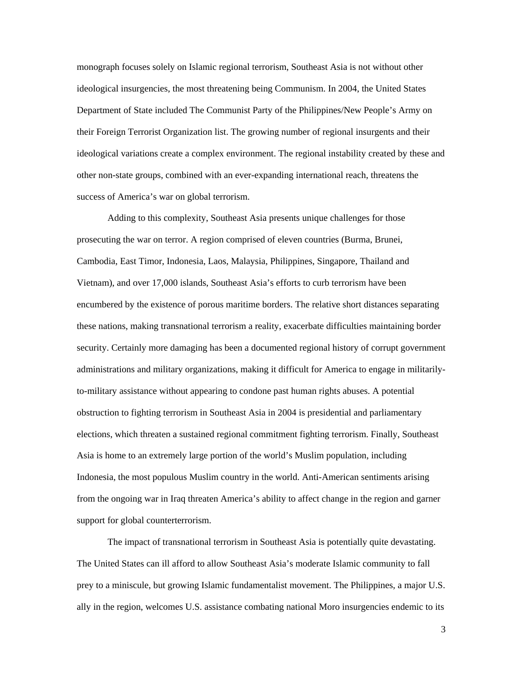monograph focuses solely on Islamic regional terrorism, Southeast Asia is not without other ideological insurgencies, the most threatening being Communism. In 2004, the United States Department of State included The Communist Party of the Philippines/New People's Army on their Foreign Terrorist Organization list. The growing number of regional insurgents and their ideological variations create a complex environment. The regional instability created by these and other non-state groups, combined with an ever-expanding international reach, threatens the success of America's war on global terrorism.

Adding to this complexity, Southeast Asia presents unique challenges for those prosecuting the war on terror. A region comprised of eleven countries (Burma, Brunei, Cambodia, East Timor, Indonesia, Laos, Malaysia, Philippines, Singapore, Thailand and Vietnam), and over 17,000 islands, Southeast Asia's efforts to curb terrorism have been encumbered by the existence of porous maritime borders. The relative short distances separating these nations, making transnational terrorism a reality, exacerbate difficulties maintaining border security. Certainly more damaging has been a documented regional history of corrupt government administrations and military organizations, making it difficult for America to engage in militarilyto-military assistance without appearing to condone past human rights abuses. A potential obstruction to fighting terrorism in Southeast Asia in 2004 is presidential and parliamentary elections, which threaten a sustained regional commitment fighting terrorism. Finally, Southeast Asia is home to an extremely large portion of the world's Muslim population, including Indonesia, the most populous Muslim country in the world. Anti-American sentiments arising from the ongoing war in Iraq threaten America's ability to affect change in the region and garner support for global counterterrorism.

The impact of transnational terrorism in Southeast Asia is potentially quite devastating. The United States can ill afford to allow Southeast Asia's moderate Islamic community to fall prey to a miniscule, but growing Islamic fundamentalist movement. The Philippines, a major U.S. ally in the region, welcomes U.S. assistance combating national Moro insurgencies endemic to its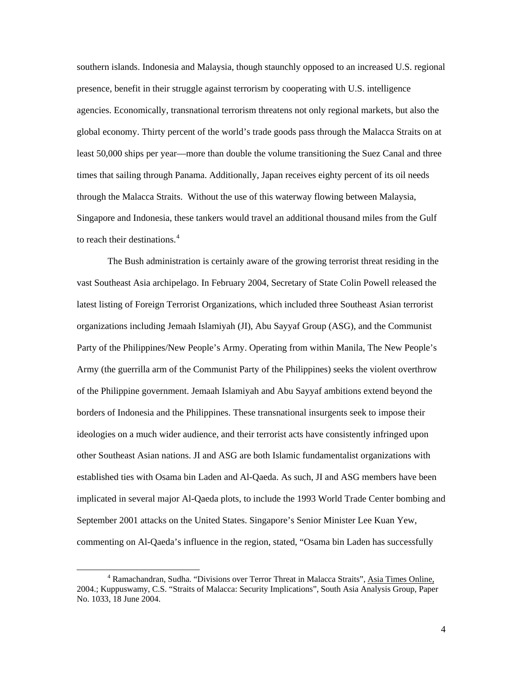southern islands. Indonesia and Malaysia, though staunchly opposed to an increased U.S. regional presence, benefit in their struggle against terrorism by cooperating with U.S. intelligence agencies. Economically, transnational terrorism threatens not only regional markets, but also the global economy. Thirty percent of the world's trade goods pass through the Malacca Straits on at least 50,000 ships per year—more than double the volume transitioning the Suez Canal and three times that sailing through Panama. Additionally, Japan receives eighty percent of its oil needs through the Malacca Straits. Without the use of this waterway flowing between Malaysia, Singapore and Indonesia, these tankers would travel an additional thousand miles from the Gulf to reach their destinations.<sup>[4](#page-8-0)</sup>

The Bush administration is certainly aware of the growing terrorist threat residing in the vast Southeast Asia archipelago. In February 2004, Secretary of State Colin Powell released the latest listing of Foreign Terrorist Organizations, which included three Southeast Asian terrorist organizations including Jemaah Islamiyah (JI), Abu Sayyaf Group (ASG), and the Communist Party of the Philippines/New People's Army. Operating from within Manila, The New People's Army (the guerrilla arm of the Communist Party of the Philippines) seeks the violent overthrow of the Philippine government. Jemaah Islamiyah and Abu Sayyaf ambitions extend beyond the borders of Indonesia and the Philippines. These transnational insurgents seek to impose their ideologies on a much wider audience, and their terrorist acts have consistently infringed upon other Southeast Asian nations. JI and ASG are both Islamic fundamentalist organizations with established ties with Osama bin Laden and Al-Qaeda. As such, JI and ASG members have been implicated in several major Al-Qaeda plots, to include the 1993 World Trade Center bombing and September 2001 attacks on the United States. Singapore's Senior Minister Lee Kuan Yew, commenting on Al-Qaeda's influence in the region, stated, "Osama bin Laden has successfully

<span id="page-8-0"></span> $\frac{1}{4}$  Ramachandran, Sudha. "Divisions over Terror Threat in Malacca Straits", Asia Times Online, 2004.; Kuppuswamy, C.S. "Straits of Malacca: Security Implications", South Asia Analysis Group, Paper No. 1033, 18 June 2004.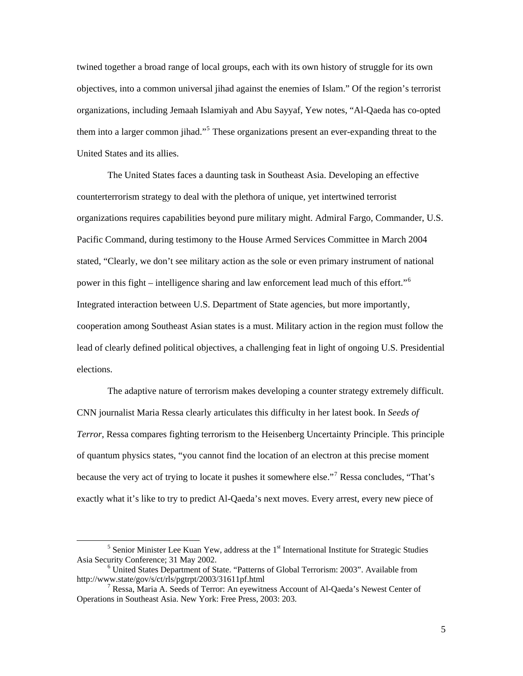twined together a broad range of local groups, each with its own history of struggle for its own objectives, into a common universal jihad against the enemies of Islam." Of the region's terrorist organizations, including Jemaah Islamiyah and Abu Sayyaf, Yew notes, "Al-Qaeda has co-opted them into a larger common jihad."<sup>[5](#page-9-0)</sup> These organizations present an ever-expanding threat to the United States and its allies.

The United States faces a daunting task in Southeast Asia. Developing an effective counterterrorism strategy to deal with the plethora of unique, yet intertwined terrorist organizations requires capabilities beyond pure military might. Admiral Fargo, Commander, U.S. Pacific Command, during testimony to the House Armed Services Committee in March 2004 stated, "Clearly, we don't see military action as the sole or even primary instrument of national power in this fight – intelligence sharing and law enforcement lead much of this effort."[6](#page-9-1) Integrated interaction between U.S. Department of State agencies, but more importantly, cooperation among Southeast Asian states is a must. Military action in the region must follow the lead of clearly defined political objectives, a challenging feat in light of ongoing U.S. Presidential elections.

The adaptive nature of terrorism makes developing a counter strategy extremely difficult. CNN journalist Maria Ressa clearly articulates this difficulty in her latest book. In *Seeds of Terror*, Ressa compares fighting terrorism to the Heisenberg Uncertainty Principle. This principle of quantum physics states, "you cannot find the location of an electron at this precise moment because the very act of trying to locate it pushes it somewhere else."<sup>[7](#page-9-2)</sup> Ressa concludes, "That's exactly what it's like to try to predict Al-Qaeda's next moves. Every arrest, every new piece of

<span id="page-9-0"></span> $\frac{1}{5}$  $<sup>5</sup>$  Senior Minister Lee Kuan Yew, address at the  $1<sup>st</sup>$  International Institute for Strategic Studies</sup> Asia Security Conference; 31 May 2002. 6

<span id="page-9-1"></span>United States Department of State. "Patterns of Global Terrorism: 2003". Available from http://www.state/gov/s/ct/rls/pgtrpt/2003/31611pf.html 7

<span id="page-9-2"></span><sup>&</sup>lt;sup>7</sup> Ressa, Maria A. Seeds of Terror: An eyewitness Account of Al-Qaeda's Newest Center of Operations in Southeast Asia. New York: Free Press, 2003: 203.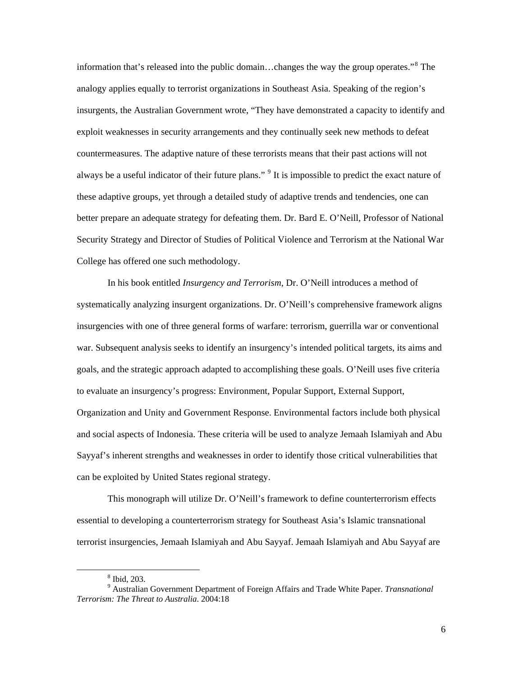information that's released into the public domain…changes the way the group operates."[8](#page-10-0) The analogy applies equally to terrorist organizations in Southeast Asia. Speaking of the region's insurgents, the Australian Government wrote, "They have demonstrated a capacity to identify and exploit weaknesses in security arrangements and they continually seek new methods to defeat countermeasures. The adaptive nature of these terrorists means that their past actions will not always be a useful indicator of their future plans." <sup>[9](#page-10-1)</sup> It is impossible to predict the exact nature of these adaptive groups, yet through a detailed study of adaptive trends and tendencies, one can better prepare an adequate strategy for defeating them. Dr. Bard E. O'Neill, Professor of National Security Strategy and Director of Studies of Political Violence and Terrorism at the National War College has offered one such methodology.

In his book entitled *Insurgency and Terrorism*, Dr. O'Neill introduces a method of systematically analyzing insurgent organizations. Dr. O'Neill's comprehensive framework aligns insurgencies with one of three general forms of warfare: terrorism, guerrilla war or conventional war. Subsequent analysis seeks to identify an insurgency's intended political targets, its aims and goals, and the strategic approach adapted to accomplishing these goals. O'Neill uses five criteria to evaluate an insurgency's progress: Environment, Popular Support, External Support, Organization and Unity and Government Response. Environmental factors include both physical and social aspects of Indonesia. These criteria will be used to analyze Jemaah Islamiyah and Abu Sayyaf's inherent strengths and weaknesses in order to identify those critical vulnerabilities that can be exploited by United States regional strategy.

This monograph will utilize Dr. O'Neill's framework to define counterterrorism effects essential to developing a counterterrorism strategy for Southeast Asia's Islamic transnational terrorist insurgencies, Jemaah Islamiyah and Abu Sayyaf. Jemaah Islamiyah and Abu Sayyaf are

 $\frac{1}{\sqrt{8}}$  $8$  Ibid, 203.

<span id="page-10-1"></span><span id="page-10-0"></span><sup>9</sup> Australian Government Department of Foreign Affairs and Trade White Paper. *Transnational Terrorism: The Threat to Australia*. 2004:18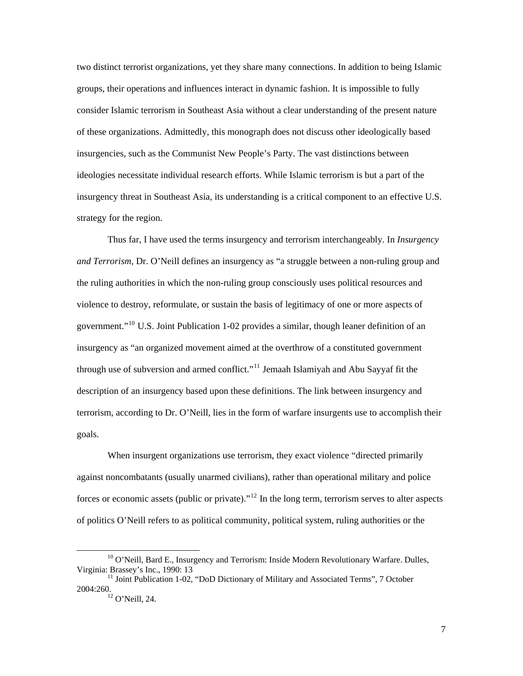two distinct terrorist organizations, yet they share many connections. In addition to being Islamic groups, their operations and influences interact in dynamic fashion. It is impossible to fully consider Islamic terrorism in Southeast Asia without a clear understanding of the present nature of these organizations. Admittedly, this monograph does not discuss other ideologically based insurgencies, such as the Communist New People's Party. The vast distinctions between ideologies necessitate individual research efforts. While Islamic terrorism is but a part of the insurgency threat in Southeast Asia, its understanding is a critical component to an effective U.S. strategy for the region.

Thus far, I have used the terms insurgency and terrorism interchangeably. In *Insurgency and Terrorism*, Dr. O'Neill defines an insurgency as "a struggle between a non-ruling group and the ruling authorities in which the non-ruling group consciously uses political resources and violence to destroy, reformulate, or sustain the basis of legitimacy of one or more aspects of government."<sup>[10](#page-11-0)</sup> U.S. Joint Publication 1-02 provides a similar, though leaner definition of an insurgency as "an organized movement aimed at the overthrow of a constituted government through use of subversion and armed conflict."<sup>[11](#page-11-1)</sup> Jemaah Islamiyah and Abu Sayyaf fit the description of an insurgency based upon these definitions. The link between insurgency and terrorism, according to Dr. O'Neill, lies in the form of warfare insurgents use to accomplish their goals.

When insurgent organizations use terrorism, they exact violence "directed primarily against noncombatants (usually unarmed civilians), rather than operational military and police forces or economic assets (public or private).<sup> $12$ </sup> In the long term, terrorism serves to alter aspects of politics O'Neill refers to as political community, political system, ruling authorities or the

<span id="page-11-0"></span><sup>&</sup>lt;sup>10</sup> O'Neill, Bard E., Insurgency and Terrorism: Inside Modern Revolutionary Warfare. Dulles, Virginia: Brassey's Inc., 1990: 13

<span id="page-11-2"></span><span id="page-11-1"></span> $^{11}$  Joint Publication 1-02, "DoD Dictionary of Military and Associated Terms", 7 October 2004:260. 12 O'Neill, 24.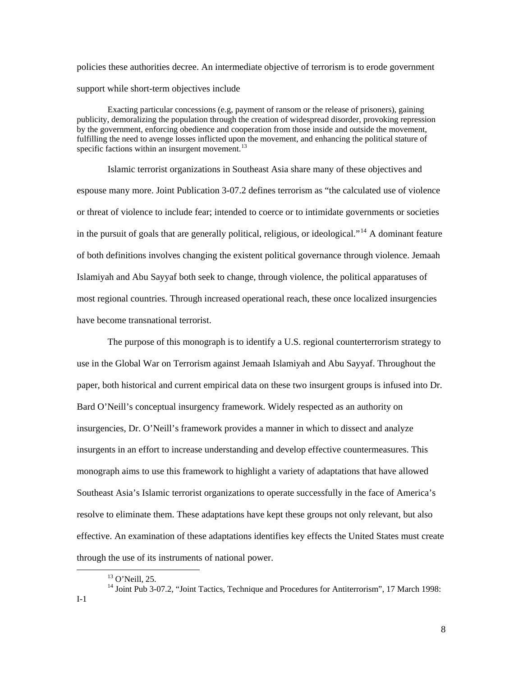policies these authorities decree. An intermediate objective of terrorism is to erode government support while short-term objectives include

Exacting particular concessions (e.g, payment of ransom or the release of prisoners), gaining publicity, demoralizing the population through the creation of widespread disorder, provoking repression by the government, enforcing obedience and cooperation from those inside and outside the movement, fulfilling the need to avenge losses inflicted upon the movement, and enhancing the political stature of specific factions within an insurgent movement.<sup>[13](#page-12-0)</sup>

Islamic terrorist organizations in Southeast Asia share many of these objectives and espouse many more. Joint Publication 3-07.2 defines terrorism as "the calculated use of violence or threat of violence to include fear; intended to coerce or to intimidate governments or societies in the pursuit of goals that are generally political, religious, or ideological."<sup>[14](#page-12-1)</sup> A dominant feature of both definitions involves changing the existent political governance through violence. Jemaah Islamiyah and Abu Sayyaf both seek to change, through violence, the political apparatuses of most regional countries. Through increased operational reach, these once localized insurgencies have become transnational terrorist.

The purpose of this monograph is to identify a U.S. regional counterterrorism strategy to use in the Global War on Terrorism against Jemaah Islamiyah and Abu Sayyaf. Throughout the paper, both historical and current empirical data on these two insurgent groups is infused into Dr. Bard O'Neill's conceptual insurgency framework. Widely respected as an authority on insurgencies, Dr. O'Neill's framework provides a manner in which to dissect and analyze insurgents in an effort to increase understanding and develop effective countermeasures. This monograph aims to use this framework to highlight a variety of adaptations that have allowed Southeast Asia's Islamic terrorist organizations to operate successfully in the face of America's resolve to eliminate them. These adaptations have kept these groups not only relevant, but also effective. An examination of these adaptations identifies key effects the United States must create through the use of its instruments of national power.

 <sup>13</sup> O'Neill, 25.

<span id="page-12-1"></span><span id="page-12-0"></span><sup>&</sup>lt;sup>14</sup> Joint Pub 3-07.2, "Joint Tactics, Technique and Procedures for Antiterrorism", 17 March 1998: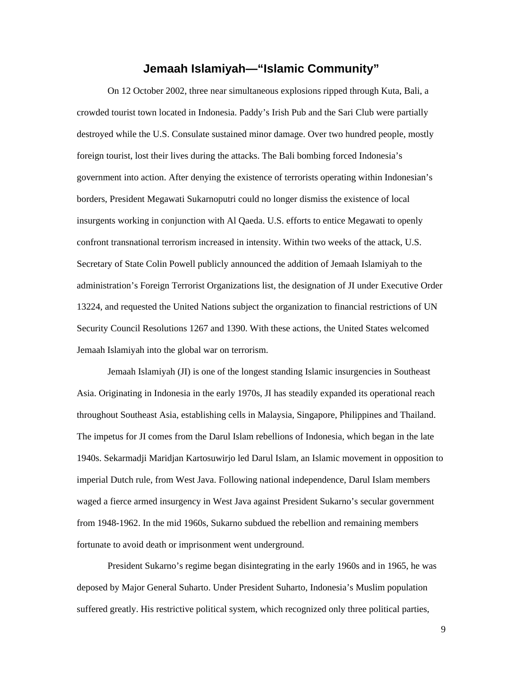# **Jemaah Islamiyah—"Islamic Community"**

<span id="page-13-0"></span>On 12 October 2002, three near simultaneous explosions ripped through Kuta, Bali, a crowded tourist town located in Indonesia. Paddy's Irish Pub and the Sari Club were partially destroyed while the U.S. Consulate sustained minor damage. Over two hundred people, mostly foreign tourist, lost their lives during the attacks. The Bali bombing forced Indonesia's government into action. After denying the existence of terrorists operating within Indonesian's borders, President Megawati Sukarnoputri could no longer dismiss the existence of local insurgents working in conjunction with Al Qaeda. U.S. efforts to entice Megawati to openly confront transnational terrorism increased in intensity. Within two weeks of the attack, U.S. Secretary of State Colin Powell publicly announced the addition of Jemaah Islamiyah to the administration's Foreign Terrorist Organizations list, the designation of JI under Executive Order 13224, and requested the United Nations subject the organization to financial restrictions of UN Security Council Resolutions 1267 and 1390. With these actions, the United States welcomed Jemaah Islamiyah into the global war on terrorism.

Jemaah Islamiyah (JI) is one of the longest standing Islamic insurgencies in Southeast Asia. Originating in Indonesia in the early 1970s, JI has steadily expanded its operational reach throughout Southeast Asia, establishing cells in Malaysia, Singapore, Philippines and Thailand. The impetus for JI comes from the Darul Islam rebellions of Indonesia, which began in the late 1940s. Sekarmadji Maridjan Kartosuwirjo led Darul Islam, an Islamic movement in opposition to imperial Dutch rule, from West Java. Following national independence, Darul Islam members waged a fierce armed insurgency in West Java against President Sukarno's secular government from 1948-1962. In the mid 1960s, Sukarno subdued the rebellion and remaining members fortunate to avoid death or imprisonment went underground.

President Sukarno's regime began disintegrating in the early 1960s and in 1965, he was deposed by Major General Suharto. Under President Suharto, Indonesia's Muslim population suffered greatly. His restrictive political system, which recognized only three political parties,

9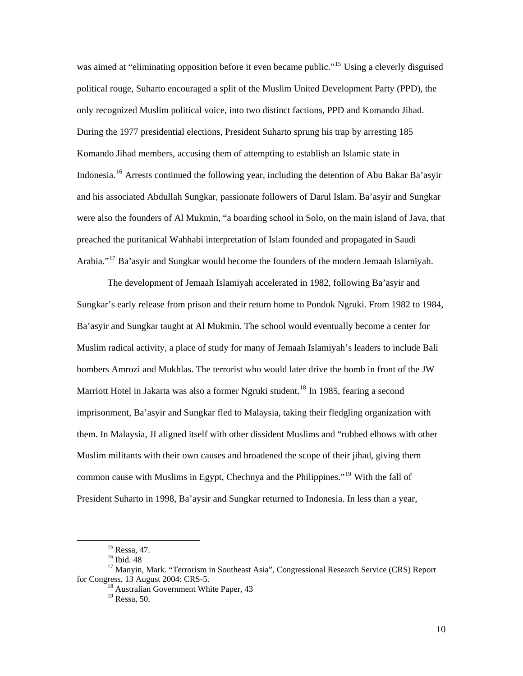was aimed at "eliminating opposition before it even became public."<sup>[15](#page-14-0)</sup> Using a cleverly disguised political rouge, Suharto encouraged a split of the Muslim United Development Party (PPD), the only recognized Muslim political voice, into two distinct factions, PPD and Komando Jihad. During the 1977 presidential elections, President Suharto sprung his trap by arresting 185 Komando Jihad members, accusing them of attempting to establish an Islamic state in Indonesia.[16](#page-14-1) Arrests continued the following year, including the detention of Abu Bakar Ba'asyir and his associated Abdullah Sungkar, passionate followers of Darul Islam. Ba'asyir and Sungkar were also the founders of Al Mukmin, "a boarding school in Solo, on the main island of Java, that preached the puritanical Wahhabi interpretation of Islam founded and propagated in Saudi Arabia."<sup>[17](#page-14-2)</sup> Ba'asyir and Sungkar would become the founders of the modern Jemaah Islamiyah.

The development of Jemaah Islamiyah accelerated in 1982, following Ba'asyir and Sungkar's early release from prison and their return home to Pondok Ngruki. From 1982 to 1984, Ba'asyir and Sungkar taught at Al Mukmin. The school would eventually become a center for Muslim radical activity, a place of study for many of Jemaah Islamiyah's leaders to include Bali bombers Amrozi and Mukhlas. The terrorist who would later drive the bomb in front of the JW Marriott Hotel in Jakarta was also a former Ngruki student.<sup>[18](#page-14-3)</sup> In 1985, fearing a second imprisonment, Ba'asyir and Sungkar fled to Malaysia, taking their fledgling organization with them. In Malaysia, JI aligned itself with other dissident Muslims and "rubbed elbows with other Muslim militants with their own causes and broadened the scope of their jihad, giving them common cause with Muslims in Egypt, Chechnya and the Philippines."<sup>[19](#page-14-4)</sup> With the fall of President Suharto in 1998, Ba'aysir and Sungkar returned to Indonesia. In less than a year,

 <sup>15</sup> Ressa, 47.

<sup>&</sup>lt;sup>16</sup> Ibid. 48

<span id="page-14-4"></span><span id="page-14-3"></span><span id="page-14-2"></span><span id="page-14-1"></span><span id="page-14-0"></span><sup>&</sup>lt;sup>17</sup> Manyin, Mark. "Terrorism in Southeast Asia", Congressional Research Service (CRS) Report for Congress, 13 August 2004: CRS-5.

 $18$  Australian Government White Paper, 43

<sup>&</sup>lt;sup>19</sup> Ressa, 50.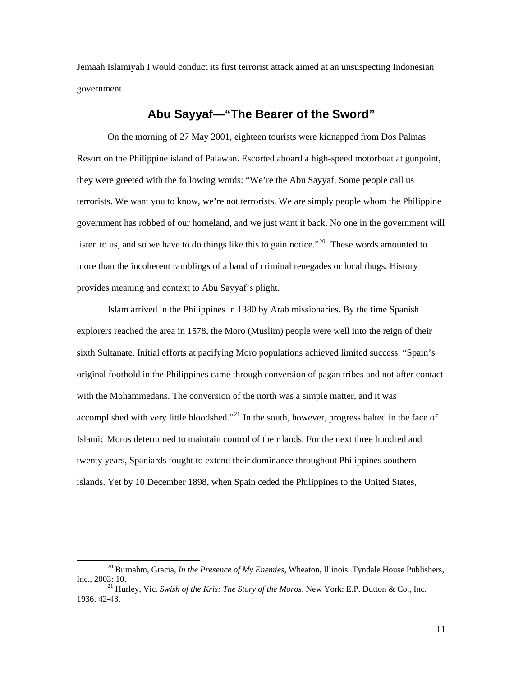<span id="page-15-0"></span>Jemaah Islamiyah I would conduct its first terrorist attack aimed at an unsuspecting Indonesian government.

# **Abu Sayyaf—"The Bearer of the Sword"**

On the morning of 27 May 2001, eighteen tourists were kidnapped from Dos Palmas Resort on the Philippine island of Palawan. Escorted aboard a high-speed motorboat at gunpoint, they were greeted with the following words: "We're the Abu Sayyaf, Some people call us terrorists. We want you to know, we're not terrorists. We are simply people whom the Philippine government has robbed of our homeland, and we just want it back. No one in the government will listen to us, and so we have to do things like this to gain notice."<sup>[20](#page-15-1)</sup> These words amounted to more than the incoherent ramblings of a band of criminal renegades or local thugs. History provides meaning and context to Abu Sayyaf's plight.

Islam arrived in the Philippines in 1380 by Arab missionaries. By the time Spanish explorers reached the area in 1578, the Moro (Muslim) people were well into the reign of their sixth Sultanate. Initial efforts at pacifying Moro populations achieved limited success. "Spain's original foothold in the Philippines came through conversion of pagan tribes and not after contact with the Mohammedans. The conversion of the north was a simple matter, and it was accomplished with very little bloodshed."<sup>[21](#page-15-2)</sup> In the south, however, progress halted in the face of Islamic Moros determined to maintain control of their lands. For the next three hundred and twenty years, Spaniards fought to extend their dominance throughout Philippines southern islands. Yet by 10 December 1898, when Spain ceded the Philippines to the United States,

<span id="page-15-1"></span> <sup>20</sup> Burnahm, Gracia, *In the Presence of My Enemies*, Wheaton, Illinois: Tyndale House Publishers, Inc., 2003: 10. 21 Hurley, Vic*. Swish of the Kris: The Story of the Moros*. New York: E.P. Dutton & Co., Inc.

<span id="page-15-2"></span><sup>1936: 42-43.</sup>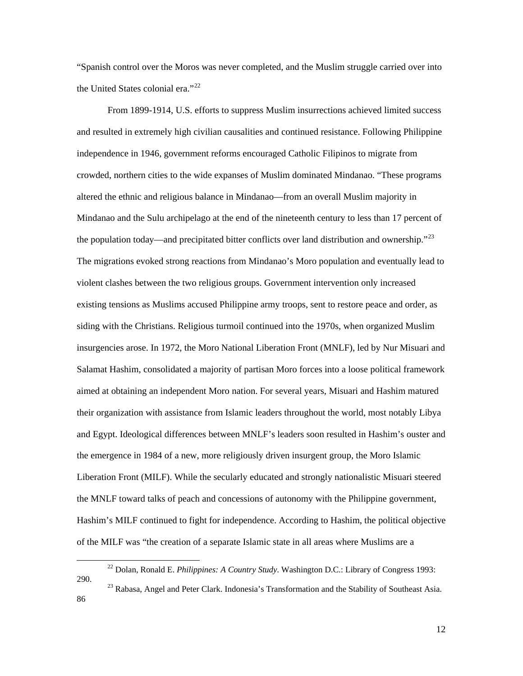"Spanish control over the Moros was never completed, and the Muslim struggle carried over into the United States colonial era."<sup>[22](#page-16-0)</sup>

From 1899-1914, U.S. efforts to suppress Muslim insurrections achieved limited success and resulted in extremely high civilian causalities and continued resistance. Following Philippine independence in 1946, government reforms encouraged Catholic Filipinos to migrate from crowded, northern cities to the wide expanses of Muslim dominated Mindanao. "These programs altered the ethnic and religious balance in Mindanao—from an overall Muslim majority in Mindanao and the Sulu archipelago at the end of the nineteenth century to less than 17 percent of the population today—and precipitated bitter conflicts over land distribution and ownership.<sup>"[23](#page-16-1)</sup> The migrations evoked strong reactions from Mindanao's Moro population and eventually lead to violent clashes between the two religious groups. Government intervention only increased existing tensions as Muslims accused Philippine army troops, sent to restore peace and order, as siding with the Christians. Religious turmoil continued into the 1970s, when organized Muslim insurgencies arose. In 1972, the Moro National Liberation Front (MNLF), led by Nur Misuari and Salamat Hashim, consolidated a majority of partisan Moro forces into a loose political framework aimed at obtaining an independent Moro nation. For several years, Misuari and Hashim matured their organization with assistance from Islamic leaders throughout the world, most notably Libya and Egypt. Ideological differences between MNLF's leaders soon resulted in Hashim's ouster and the emergence in 1984 of a new, more religiously driven insurgent group, the Moro Islamic Liberation Front (MILF). While the secularly educated and strongly nationalistic Misuari steered the MNLF toward talks of peach and concessions of autonomy with the Philippine government, Hashim's MILF continued to fight for independence. According to Hashim, the political objective of the MILF was "the creation of a separate Islamic state in all areas where Muslims are a

<span id="page-16-0"></span> <sup>22</sup> Dolan, Ronald E. *Philippines: A Country Study*. Washington D.C.: Library of Congress 1993: 290. 23 Rabasa, Angel and Peter Clark. Indonesia's Transformation and the Stability of Southeast Asia.

<span id="page-16-1"></span><sup>86</sup>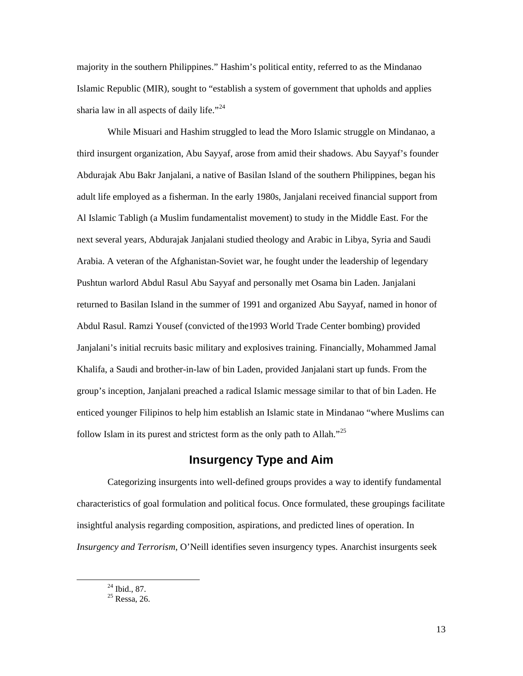<span id="page-17-0"></span>majority in the southern Philippines." Hashim's political entity, referred to as the Mindanao Islamic Republic (MIR), sought to "establish a system of government that upholds and applies sharia law in all aspects of daily life."<sup>[24](#page-17-1)</sup>

While Misuari and Hashim struggled to lead the Moro Islamic struggle on Mindanao, a third insurgent organization, Abu Sayyaf, arose from amid their shadows. Abu Sayyaf's founder Abdurajak Abu Bakr Janjalani, a native of Basilan Island of the southern Philippines, began his adult life employed as a fisherman. In the early 1980s, Janjalani received financial support from Al Islamic Tabligh (a Muslim fundamentalist movement) to study in the Middle East. For the next several years, Abdurajak Janjalani studied theology and Arabic in Libya, Syria and Saudi Arabia. A veteran of the Afghanistan-Soviet war, he fought under the leadership of legendary Pushtun warlord Abdul Rasul Abu Sayyaf and personally met Osama bin Laden. Janjalani returned to Basilan Island in the summer of 1991 and organized Abu Sayyaf, named in honor of Abdul Rasul. Ramzi Yousef (convicted of the1993 World Trade Center bombing) provided Janjalani's initial recruits basic military and explosives training. Financially, Mohammed Jamal Khalifa, a Saudi and brother-in-law of bin Laden, provided Janjalani start up funds. From the group's inception, Janjalani preached a radical Islamic message similar to that of bin Laden. He enticed younger Filipinos to help him establish an Islamic state in Mindanao "where Muslims can follow Islam in its purest and strictest form as the only path to Allah."<sup>[25](#page-17-2)</sup>

# **Insurgency Type and Aim**

Categorizing insurgents into well-defined groups provides a way to identify fundamental characteristics of goal formulation and political focus. Once formulated, these groupings facilitate insightful analysis regarding composition, aspirations, and predicted lines of operation. In *Insurgency and Terrorism*, O'Neill identifies seven insurgency types. Anarchist insurgents seek

<span id="page-17-2"></span><span id="page-17-1"></span> $\frac{24 \text{ Ibid., } 87.}{24 \text{ Ibid., } 87.}$ 

 $25$  Ressa, 26.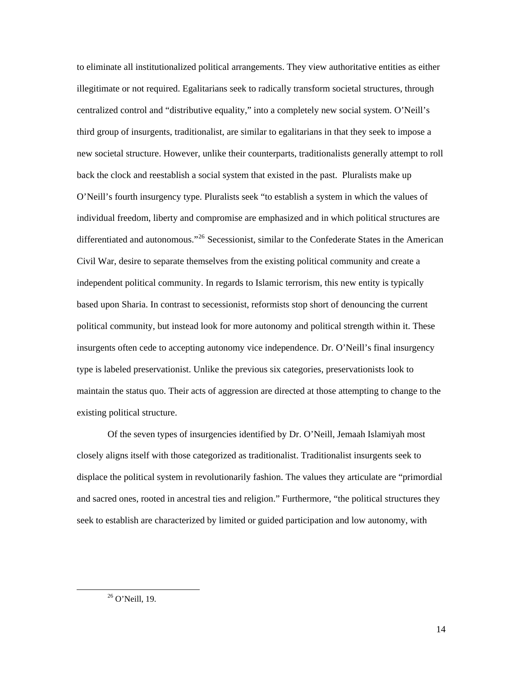to eliminate all institutionalized political arrangements. They view authoritative entities as either illegitimate or not required. Egalitarians seek to radically transform societal structures, through centralized control and "distributive equality," into a completely new social system. O'Neill's third group of insurgents, traditionalist, are similar to egalitarians in that they seek to impose a new societal structure. However, unlike their counterparts, traditionalists generally attempt to roll back the clock and reestablish a social system that existed in the past. Pluralists make up O'Neill's fourth insurgency type. Pluralists seek "to establish a system in which the values of individual freedom, liberty and compromise are emphasized and in which political structures are differentiated and autonomous."<sup>[26](#page-18-0)</sup> Secessionist, similar to the Confederate States in the American Civil War, desire to separate themselves from the existing political community and create a independent political community. In regards to Islamic terrorism, this new entity is typically based upon Sharia. In contrast to secessionist, reformists stop short of denouncing the current political community, but instead look for more autonomy and political strength within it. These insurgents often cede to accepting autonomy vice independence. Dr. O'Neill's final insurgency type is labeled preservationist. Unlike the previous six categories, preservationists look to maintain the status quo. Their acts of aggression are directed at those attempting to change to the existing political structure.

Of the seven types of insurgencies identified by Dr. O'Neill, Jemaah Islamiyah most closely aligns itself with those categorized as traditionalist. Traditionalist insurgents seek to displace the political system in revolutionarily fashion. The values they articulate are "primordial and sacred ones, rooted in ancestral ties and religion." Furthermore, "the political structures they seek to establish are characterized by limited or guided participation and low autonomy, with

<span id="page-18-0"></span> <sup>26</sup> O'Neill, 19.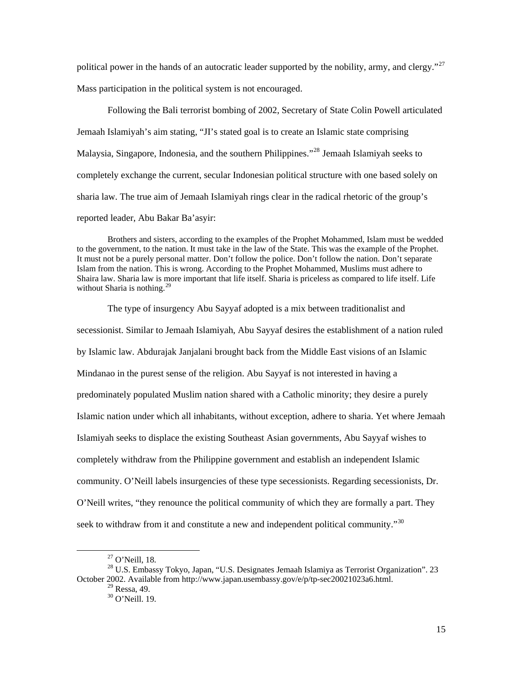political power in the hands of an autocratic leader supported by the nobility, army, and clergy."<sup>[27](#page-19-0)</sup> Mass participation in the political system is not encouraged.

Following the Bali terrorist bombing of 2002, Secretary of State Colin Powell articulated Jemaah Islamiyah's aim stating, "JI's stated goal is to create an Islamic state comprising Malaysia, Singapore, Indonesia, and the southern Philippines."<sup>[28](#page-19-1)</sup> Jemaah Islamiyah seeks to completely exchange the current, secular Indonesian political structure with one based solely on sharia law. The true aim of Jemaah Islamiyah rings clear in the radical rhetoric of the group's reported leader, Abu Bakar Ba'asyir:

Brothers and sisters, according to the examples of the Prophet Mohammed, Islam must be wedded to the government, to the nation. It must take in the law of the State. This was the example of the Prophet. It must not be a purely personal matter. Don't follow the police. Don't follow the nation. Don't separate Islam from the nation. This is wrong. According to the Prophet Mohammed, Muslims must adhere to Shaira law. Sharia law is more important that life itself. Sharia is priceless as compared to life itself. Life without Sharia is nothing.<sup>[29](#page-19-2)</sup>

The type of insurgency Abu Sayyaf adopted is a mix between traditionalist and secessionist. Similar to Jemaah Islamiyah, Abu Sayyaf desires the establishment of a nation ruled by Islamic law. Abdurajak Janjalani brought back from the Middle East visions of an Islamic Mindanao in the purest sense of the religion. Abu Sayyaf is not interested in having a predominately populated Muslim nation shared with a Catholic minority; they desire a purely Islamic nation under which all inhabitants, without exception, adhere to sharia. Yet where Jemaah Islamiyah seeks to displace the existing Southeast Asian governments, Abu Sayyaf wishes to completely withdraw from the Philippine government and establish an independent Islamic community. O'Neill labels insurgencies of these type secessionists. Regarding secessionists, Dr. O'Neill writes, "they renounce the political community of which they are formally a part. They seek to withdraw from it and constitute a new and independent political community."<sup>[30](#page-19-3)</sup>

 <sup>27</sup> O'Neill, 18.

<span id="page-19-3"></span><span id="page-19-2"></span><span id="page-19-1"></span><span id="page-19-0"></span><sup>&</sup>lt;sup>28</sup> U.S. Embassy Tokyo, Japan, "U.S. Designates Jemaah Islamiya as Terrorist Organization". 23 October 2002. Available from http://www.japan.usembassy.gov/e/p/tp-sec20021023a6.html.

 $^{29}$  Ressa, 49.

<sup>30</sup> O'Neill. 19.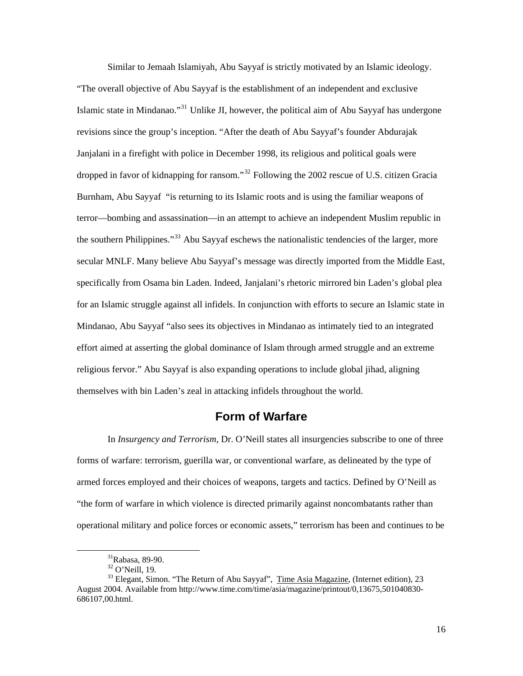<span id="page-20-0"></span>Similar to Jemaah Islamiyah, Abu Sayyaf is strictly motivated by an Islamic ideology. "The overall objective of Abu Sayyaf is the establishment of an independent and exclusive Islamic state in Mindanao."<sup>[31](#page-20-1)</sup> Unlike JI, however, the political aim of Abu Sayyaf has undergone revisions since the group's inception. "After the death of Abu Sayyaf's founder Abdurajak Janjalani in a firefight with police in December 1998, its religious and political goals were dropped in favor of kidnapping for ransom."<sup>[32](#page-20-2)</sup> Following the 2002 rescue of U.S. citizen Gracia Burnham, Abu Sayyaf "is returning to its Islamic roots and is using the familiar weapons of terror—bombing and assassination—in an attempt to achieve an independent Muslim republic in the southern Philippines."<sup>[33](#page-20-3)</sup> Abu Sayyaf eschews the nationalistic tendencies of the larger, more secular MNLF. Many believe Abu Sayyaf's message was directly imported from the Middle East, specifically from Osama bin Laden. Indeed, Janjalani's rhetoric mirrored bin Laden's global plea for an Islamic struggle against all infidels. In conjunction with efforts to secure an Islamic state in Mindanao, Abu Sayyaf "also sees its objectives in Mindanao as intimately tied to an integrated effort aimed at asserting the global dominance of Islam through armed struggle and an extreme religious fervor." Abu Sayyaf is also expanding operations to include global jihad, aligning themselves with bin Laden's zeal in attacking infidels throughout the world.

# **Form of Warfare**

In *Insurgency and Terrorism*, Dr. O'Neill states all insurgencies subscribe to one of three forms of warfare: terrorism, guerilla war, or conventional warfare, as delineated by the type of armed forces employed and their choices of weapons, targets and tactics. Defined by O'Neill as "the form of warfare in which violence is directed primarily against noncombatants rather than operational military and police forces or economic assets," terrorism has been and continues to be

 <sup>31</sup>Rabasa, 89-90.

<sup>32</sup> O'Neill, 19.

<span id="page-20-3"></span><span id="page-20-2"></span><span id="page-20-1"></span><sup>&</sup>lt;sup>33</sup> Elegant, Simon. "The Return of Abu Sayyaf", Time Asia Magazine, (Internet edition), 23 August 2004. Available from http://www.time.com/time/asia/magazine/printout/0,13675,501040830- 686107,00.html.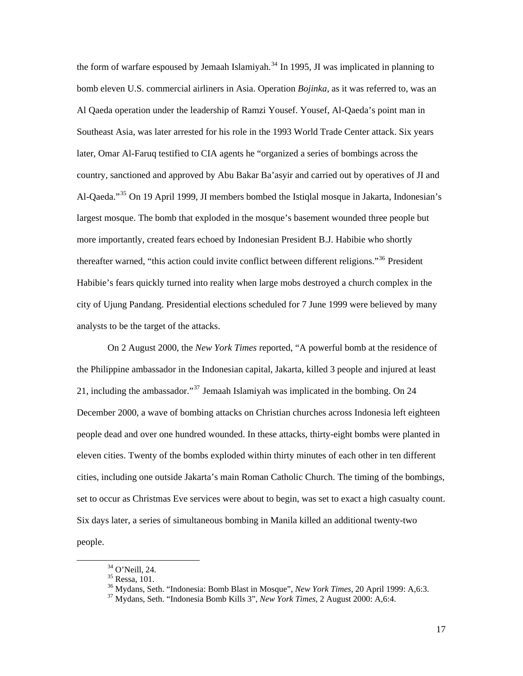the form of warfare espoused by Jemaah Islamiyah.<sup>[34](#page-21-0)</sup> In 1995, JI was implicated in planning to bomb eleven U.S. commercial airliners in Asia. Operation *Bojinka*, as it was referred to, was an Al Qaeda operation under the leadership of Ramzi Yousef. Yousef, Al-Qaeda's point man in Southeast Asia, was later arrested for his role in the 1993 World Trade Center attack. Six years later, Omar Al-Faruq testified to CIA agents he "organized a series of bombings across the country, sanctioned and approved by Abu Bakar Ba'asyir and carried out by operatives of JI and Al-Qaeda."<sup>[35](#page-21-1)</sup> On 19 April 1999, JI members bombed the Istiqlal mosque in Jakarta, Indonesian's largest mosque. The bomb that exploded in the mosque's basement wounded three people but more importantly, created fears echoed by Indonesian President B.J. Habibie who shortly thereafter warned, "this action could invite conflict between different religions."[36](#page-21-2) President Habibie's fears quickly turned into reality when large mobs destroyed a church complex in the city of Ujung Pandang. Presidential elections scheduled for 7 June 1999 were believed by many analysts to be the target of the attacks.

On 2 August 2000, the *New York Times* reported, "A powerful bomb at the residence of the Philippine ambassador in the Indonesian capital, Jakarta, killed 3 people and injured at least 21, including the ambassador."<sup>[37](#page-21-3)</sup> Jemaah Islamiyah was implicated in the bombing. On 24 December 2000, a wave of bombing attacks on Christian churches across Indonesia left eighteen people dead and over one hundred wounded. In these attacks, thirty-eight bombs were planted in eleven cities. Twenty of the bombs exploded within thirty minutes of each other in ten different cities, including one outside Jakarta's main Roman Catholic Church. The timing of the bombings, set to occur as Christmas Eve services were about to begin, was set to exact a high casualty count. Six days later, a series of simultaneous bombing in Manila killed an additional twenty-two people.

 <sup>34</sup> O'Neill, 24.

<span id="page-21-1"></span><span id="page-21-0"></span> $35$  Ressa, 101.

<sup>&</sup>lt;sup>36</sup> Mydans, Seth. "Indonesia: Bomb Blast in Mosque", *New York Times*, 20 April 1999: A,6:3. <sup>37</sup> Mydans, Seth. "Indonesia Bomb Kills 3", *New York Times*, 2 August 2000: A,6:4.

<span id="page-21-3"></span><span id="page-21-2"></span>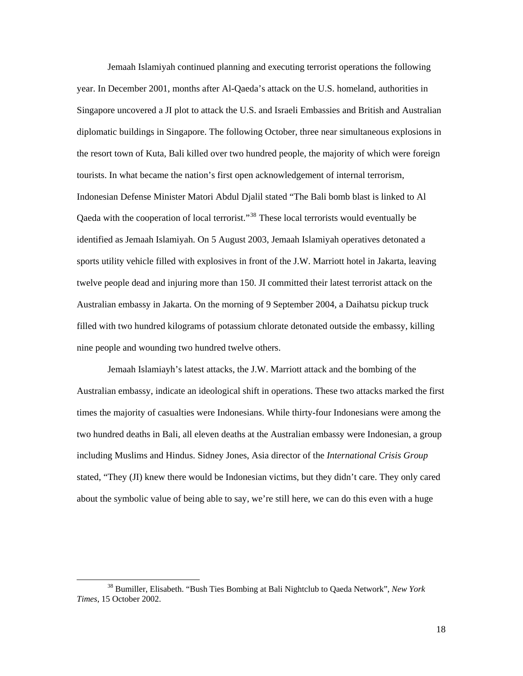Jemaah Islamiyah continued planning and executing terrorist operations the following year. In December 2001, months after Al-Qaeda's attack on the U.S. homeland, authorities in Singapore uncovered a JI plot to attack the U.S. and Israeli Embassies and British and Australian diplomatic buildings in Singapore. The following October, three near simultaneous explosions in the resort town of Kuta, Bali killed over two hundred people, the majority of which were foreign tourists. In what became the nation's first open acknowledgement of internal terrorism, Indonesian Defense Minister Matori Abdul Djalil stated "The Bali bomb blast is linked to Al Qaeda with the cooperation of local terrorist."<sup>[38](#page-22-0)</sup> These local terrorists would eventually be identified as Jemaah Islamiyah. On 5 August 2003, Jemaah Islamiyah operatives detonated a sports utility vehicle filled with explosives in front of the J.W. Marriott hotel in Jakarta, leaving twelve people dead and injuring more than 150. JI committed their latest terrorist attack on the Australian embassy in Jakarta. On the morning of 9 September 2004, a Daihatsu pickup truck filled with two hundred kilograms of potassium chlorate detonated outside the embassy, killing nine people and wounding two hundred twelve others.

Jemaah Islamiayh's latest attacks, the J.W. Marriott attack and the bombing of the Australian embassy, indicate an ideological shift in operations. These two attacks marked the first times the majority of casualties were Indonesians. While thirty-four Indonesians were among the two hundred deaths in Bali, all eleven deaths at the Australian embassy were Indonesian, a group including Muslims and Hindus. Sidney Jones, Asia director of the *International Crisis Group* stated, "They (JI) knew there would be Indonesian victims, but they didn't care. They only cared about the symbolic value of being able to say, we're still here, we can do this even with a huge

<span id="page-22-0"></span> <sup>38</sup> Bumiller, Elisabeth. "Bush Ties Bombing at Bali Nightclub to Qaeda Network", *New York Times*, 15 October 2002.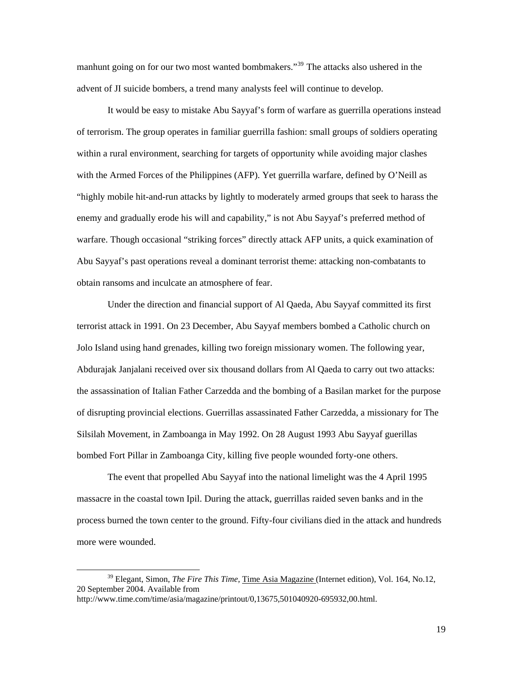manhunt going on for our two most wanted bombmakers."[39](#page-23-0) The attacks also ushered in the advent of JI suicide bombers, a trend many analysts feel will continue to develop.

It would be easy to mistake Abu Sayyaf's form of warfare as guerrilla operations instead of terrorism. The group operates in familiar guerrilla fashion: small groups of soldiers operating within a rural environment, searching for targets of opportunity while avoiding major clashes with the Armed Forces of the Philippines (AFP). Yet guerrilla warfare, defined by O'Neill as "highly mobile hit-and-run attacks by lightly to moderately armed groups that seek to harass the enemy and gradually erode his will and capability," is not Abu Sayyaf's preferred method of warfare. Though occasional "striking forces" directly attack AFP units, a quick examination of Abu Sayyaf's past operations reveal a dominant terrorist theme: attacking non-combatants to obtain ransoms and inculcate an atmosphere of fear.

Under the direction and financial support of Al Qaeda, Abu Sayyaf committed its first terrorist attack in 1991. On 23 December, Abu Sayyaf members bombed a Catholic church on Jolo Island using hand grenades, killing two foreign missionary women. The following year, Abdurajak Janjalani received over six thousand dollars from Al Qaeda to carry out two attacks: the assassination of Italian Father Carzedda and the bombing of a Basilan market for the purpose of disrupting provincial elections. Guerrillas assassinated Father Carzedda, a missionary for The Silsilah Movement, in Zamboanga in May 1992. On 28 August 1993 Abu Sayyaf guerillas bombed Fort Pillar in Zamboanga City, killing five people wounded forty-one others.

The event that propelled Abu Sayyaf into the national limelight was the 4 April 1995 massacre in the coastal town Ipil. During the attack, guerrillas raided seven banks and in the process burned the town center to the ground. Fifty-four civilians died in the attack and hundreds more were wounded.

<span id="page-23-0"></span> <sup>39</sup> Elegant, Simon, *The Fire This Time,* Time Asia Magazine (Internet edition), Vol. 164, No.12, 20 September 2004. Available from http://www.time.com/time/asia/magazine/printout/0,13675,501040920-695932,00.html.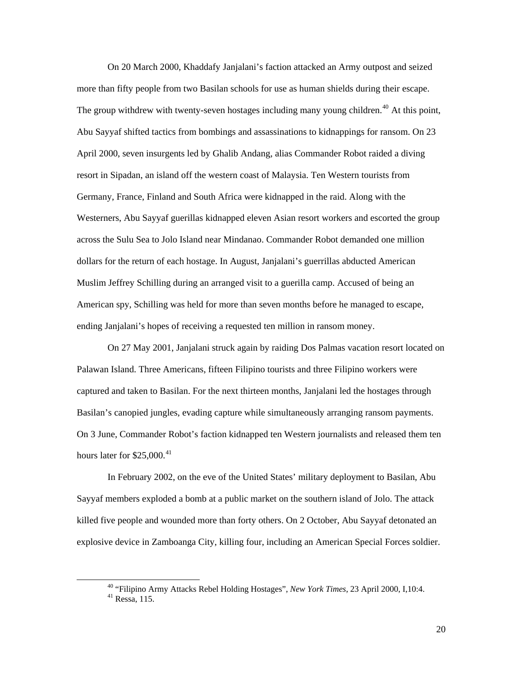On 20 March 2000, Khaddafy Janjalani's faction attacked an Army outpost and seized more than fifty people from two Basilan schools for use as human shields during their escape. The group withdrew with twenty-seven hostages including many young children.<sup>[40](#page-24-0)</sup> At this point, Abu Sayyaf shifted tactics from bombings and assassinations to kidnappings for ransom. On 23 April 2000, seven insurgents led by Ghalib Andang, alias Commander Robot raided a diving resort in Sipadan, an island off the western coast of Malaysia. Ten Western tourists from Germany, France, Finland and South Africa were kidnapped in the raid. Along with the Westerners, Abu Sayyaf guerillas kidnapped eleven Asian resort workers and escorted the group across the Sulu Sea to Jolo Island near Mindanao. Commander Robot demanded one million dollars for the return of each hostage. In August, Janjalani's guerrillas abducted American Muslim Jeffrey Schilling during an arranged visit to a guerilla camp. Accused of being an American spy, Schilling was held for more than seven months before he managed to escape, ending Janjalani's hopes of receiving a requested ten million in ransom money.

On 27 May 2001, Janjalani struck again by raiding Dos Palmas vacation resort located on Palawan Island. Three Americans, fifteen Filipino tourists and three Filipino workers were captured and taken to Basilan. For the next thirteen months, Janjalani led the hostages through Basilan's canopied jungles, evading capture while simultaneously arranging ransom payments. On 3 June, Commander Robot's faction kidnapped ten Western journalists and released them ten hours later for  $$25,000.<sup>41</sup>$  $$25,000.<sup>41</sup>$  $$25,000.<sup>41</sup>$ 

In February 2002, on the eve of the United States' military deployment to Basilan, Abu Sayyaf members exploded a bomb at a public market on the southern island of Jolo. The attack killed five people and wounded more than forty others. On 2 October, Abu Sayyaf detonated an explosive device in Zamboanga City, killing four, including an American Special Forces soldier.

<span id="page-24-1"></span><span id="page-24-0"></span> <sup>40 &</sup>quot;Filipino Army Attacks Rebel Holding Hostages", *New York Times*, 23 April 2000, I,10:4. 41 Ressa, 115.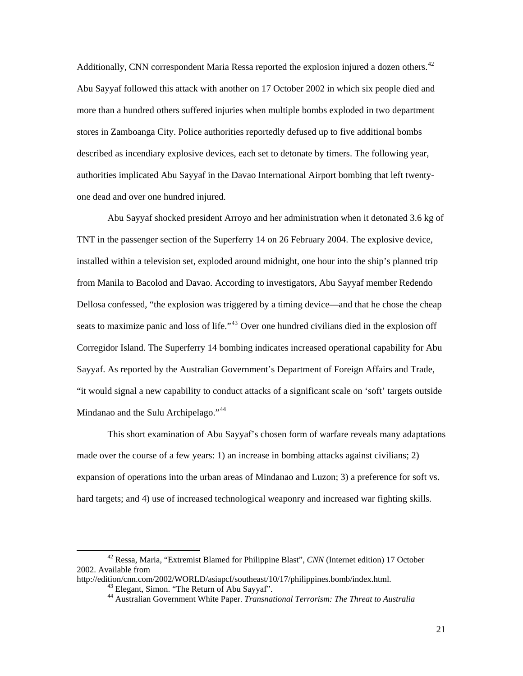Additionally, CNN correspondent Maria Ressa reported the explosion injured a dozen others.<sup>[42](#page-25-0)</sup> Abu Sayyaf followed this attack with another on 17 October 2002 in which six people died and more than a hundred others suffered injuries when multiple bombs exploded in two department stores in Zamboanga City. Police authorities reportedly defused up to five additional bombs described as incendiary explosive devices, each set to detonate by timers. The following year, authorities implicated Abu Sayyaf in the Davao International Airport bombing that left twentyone dead and over one hundred injured.

Abu Sayyaf shocked president Arroyo and her administration when it detonated 3.6 kg of TNT in the passenger section of the Superferry 14 on 26 February 2004. The explosive device, installed within a television set, exploded around midnight, one hour into the ship's planned trip from Manila to Bacolod and Davao. According to investigators, Abu Sayyaf member Redendo Dellosa confessed, "the explosion was triggered by a timing device—and that he chose the cheap seats to maximize panic and loss of life."<sup>[43](#page-25-1)</sup> Over one hundred civilians died in the explosion off Corregidor Island. The Superferry 14 bombing indicates increased operational capability for Abu Sayyaf. As reported by the Australian Government's Department of Foreign Affairs and Trade, "it would signal a new capability to conduct attacks of a significant scale on 'soft' targets outside Mindanao and the Sulu Archipelago."<sup>[44](#page-25-2)</sup>

This short examination of Abu Sayyaf's chosen form of warfare reveals many adaptations made over the course of a few years: 1) an increase in bombing attacks against civilians; 2) expansion of operations into the urban areas of Mindanao and Luzon; 3) a preference for soft vs. hard targets; and 4) use of increased technological weaponry and increased war fighting skills.

<span id="page-25-0"></span> <sup>42</sup> Ressa, Maria, "Extremist Blamed for Philippine Blast", *CNN* (Internet edition) 17 October 2002. Available from

<span id="page-25-2"></span><span id="page-25-1"></span>http://edition/cnn.com/2002/WORLD/asiapcf/southeast/10/17/philippines.bomb/index.html. 43 Elegant, Simon. "The Return of Abu Sayyaf".

<sup>44</sup> Australian Government White Paper. *Transnational Terrorism: The Threat to Australia*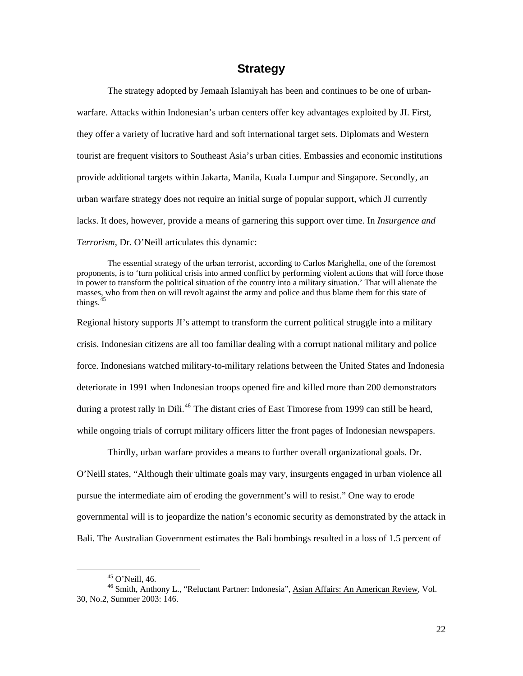## **Strategy**

<span id="page-26-0"></span>The strategy adopted by Jemaah Islamiyah has been and continues to be one of urbanwarfare. Attacks within Indonesian's urban centers offer key advantages exploited by JI. First, they offer a variety of lucrative hard and soft international target sets. Diplomats and Western tourist are frequent visitors to Southeast Asia's urban cities. Embassies and economic institutions provide additional targets within Jakarta, Manila, Kuala Lumpur and Singapore. Secondly, an urban warfare strategy does not require an initial surge of popular support, which JI currently lacks. It does, however, provide a means of garnering this support over time. In *Insurgence and Terrorism*, Dr. O'Neill articulates this dynamic:

The essential strategy of the urban terrorist, according to Carlos Marighella, one of the foremost proponents, is to 'turn political crisis into armed conflict by performing violent actions that will force those in power to transform the political situation of the country into a military situation.' That will alienate the masses, who from then on will revolt against the army and police and thus blame them for this state of things.<sup>[45](#page-26-1)</sup>

Regional history supports JI's attempt to transform the current political struggle into a military crisis. Indonesian citizens are all too familiar dealing with a corrupt national military and police force. Indonesians watched military-to-military relations between the United States and Indonesia deteriorate in 1991 when Indonesian troops opened fire and killed more than 200 demonstrators during a protest rally in Dili.<sup>[46](#page-26-2)</sup> The distant cries of East Timorese from 1999 can still be heard, while ongoing trials of corrupt military officers litter the front pages of Indonesian newspapers.

Thirdly, urban warfare provides a means to further overall organizational goals. Dr. O'Neill states, "Although their ultimate goals may vary, insurgents engaged in urban violence all pursue the intermediate aim of eroding the government's will to resist." One way to erode governmental will is to jeopardize the nation's economic security as demonstrated by the attack in Bali. The Australian Government estimates the Bali bombings resulted in a loss of 1.5 percent of

 $45$  O'Neill, 46.

<span id="page-26-2"></span><span id="page-26-1"></span><sup>&</sup>lt;sup>46</sup> Smith, Anthony L., "Reluctant Partner: Indonesia", Asian Affairs: An American Review, Vol. 30, No.2, Summer 2003: 146.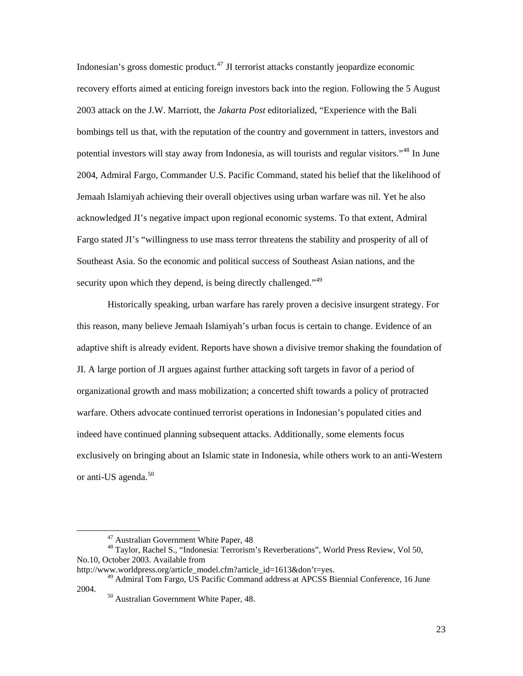Indonesian's gross domestic product.[47](#page-27-0) JI terrorist attacks constantly jeopardize economic recovery efforts aimed at enticing foreign investors back into the region. Following the 5 August 2003 attack on the J.W. Marriott, the *Jakarta Post* editorialized, "Experience with the Bali bombings tell us that, with the reputation of the country and government in tatters, investors and potential investors will stay away from Indonesia, as will tourists and regular visitors."[48](#page-27-1) In June 2004, Admiral Fargo, Commander U.S. Pacific Command, stated his belief that the likelihood of Jemaah Islamiyah achieving their overall objectives using urban warfare was nil. Yet he also acknowledged JI's negative impact upon regional economic systems. To that extent, Admiral Fargo stated JI's "willingness to use mass terror threatens the stability and prosperity of all of Southeast Asia. So the economic and political success of Southeast Asian nations, and the security upon which they depend, is being directly challenged."<sup>[49](#page-27-2)</sup>

Historically speaking, urban warfare has rarely proven a decisive insurgent strategy. For this reason, many believe Jemaah Islamiyah's urban focus is certain to change. Evidence of an adaptive shift is already evident. Reports have shown a divisive tremor shaking the foundation of JI. A large portion of JI argues against further attacking soft targets in favor of a period of organizational growth and mass mobilization; a concerted shift towards a policy of protracted warfare. Others advocate continued terrorist operations in Indonesian's populated cities and indeed have continued planning subsequent attacks. Additionally, some elements focus exclusively on bringing about an Islamic state in Indonesia, while others work to an anti-Western or anti-US agenda.<sup>[50](#page-27-3)</sup>

 <sup>47</sup> Australian Government White Paper, 48

<span id="page-27-1"></span><span id="page-27-0"></span><sup>48</sup> Taylor, Rachel S., "Indonesia: Terrorism's Reverberations", World Press Review, Vol 50, No.10, October 2003. Available from

http://www.worldpress.org/article\_model.cfm?article\_id=1613&don't=yes.

<span id="page-27-3"></span><span id="page-27-2"></span><sup>&</sup>lt;sup>49</sup> Admiral Tom Fargo, US Pacific Command address at APCSS Biennial Conference, 16 June 2004. 50 Australian Government White Paper, 48.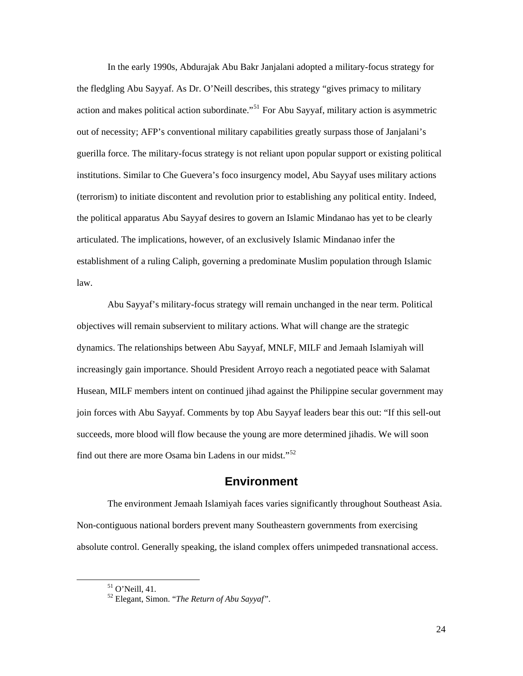<span id="page-28-0"></span>In the early 1990s, Abdurajak Abu Bakr Janjalani adopted a military-focus strategy for the fledgling Abu Sayyaf. As Dr. O'Neill describes, this strategy "gives primacy to military action and makes political action subordinate.<sup>"[51](#page-28-1)</sup> For Abu Sayyaf, military action is asymmetric out of necessity; AFP's conventional military capabilities greatly surpass those of Janjalani's guerilla force. The military-focus strategy is not reliant upon popular support or existing political institutions. Similar to Che Guevera's foco insurgency model, Abu Sayyaf uses military actions (terrorism) to initiate discontent and revolution prior to establishing any political entity. Indeed, the political apparatus Abu Sayyaf desires to govern an Islamic Mindanao has yet to be clearly articulated. The implications, however, of an exclusively Islamic Mindanao infer the establishment of a ruling Caliph, governing a predominate Muslim population through Islamic law.

Abu Sayyaf's military-focus strategy will remain unchanged in the near term. Political objectives will remain subservient to military actions. What will change are the strategic dynamics. The relationships between Abu Sayyaf, MNLF, MILF and Jemaah Islamiyah will increasingly gain importance. Should President Arroyo reach a negotiated peace with Salamat Husean, MILF members intent on continued jihad against the Philippine secular government may join forces with Abu Sayyaf. Comments by top Abu Sayyaf leaders bear this out: "If this sell-out succeeds, more blood will flow because the young are more determined jihadis. We will soon find out there are more Osama bin Ladens in our midst."[52](#page-28-2)

### **Environment**

The environment Jemaah Islamiyah faces varies significantly throughout Southeast Asia. Non-contiguous national borders prevent many Southeastern governments from exercising absolute control. Generally speaking, the island complex offers unimpeded transnational access.

24

<span id="page-28-1"></span> <sup>51</sup> O'Neill, 41.

<span id="page-28-2"></span><sup>52</sup> Elegant, Simon. "*The Return of Abu Sayyaf"*.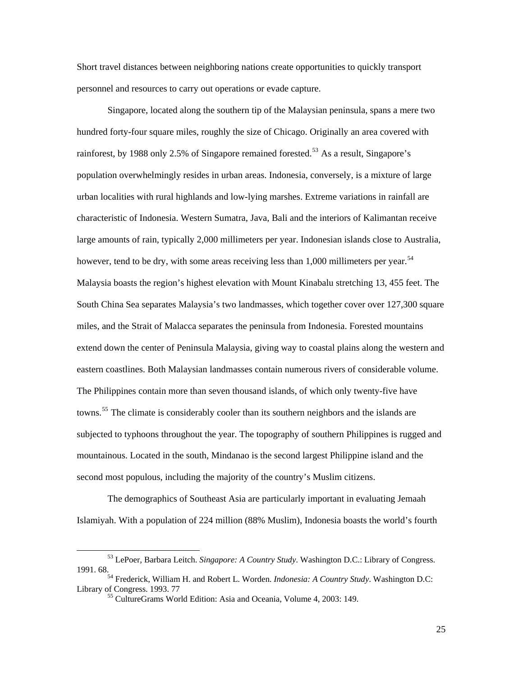Short travel distances between neighboring nations create opportunities to quickly transport personnel and resources to carry out operations or evade capture.

Singapore, located along the southern tip of the Malaysian peninsula, spans a mere two hundred forty-four square miles, roughly the size of Chicago. Originally an area covered with rainforest, by 1988 only 2.5% of Singapore remained forested.<sup>[53](#page-29-0)</sup> As a result, Singapore's population overwhelmingly resides in urban areas. Indonesia, conversely, is a mixture of large urban localities with rural highlands and low-lying marshes. Extreme variations in rainfall are characteristic of Indonesia. Western Sumatra, Java, Bali and the interiors of Kalimantan receive large amounts of rain, typically 2,000 millimeters per year. Indonesian islands close to Australia, however, tend to be dry, with some areas receiving less than 1,000 millimeters per year.<sup>[54](#page-29-1)</sup> Malaysia boasts the region's highest elevation with Mount Kinabalu stretching 13, 455 feet. The South China Sea separates Malaysia's two landmasses, which together cover over 127,300 square miles, and the Strait of Malacca separates the peninsula from Indonesia. Forested mountains extend down the center of Peninsula Malaysia, giving way to coastal plains along the western and eastern coastlines. Both Malaysian landmasses contain numerous rivers of considerable volume. The Philippines contain more than seven thousand islands, of which only twenty-five have towns.<sup>[55](#page-29-2)</sup> The climate is considerably cooler than its southern neighbors and the islands are subjected to typhoons throughout the year. The topography of southern Philippines is rugged and mountainous. Located in the south, Mindanao is the second largest Philippine island and the second most populous, including the majority of the country's Muslim citizens.

The demographics of Southeast Asia are particularly important in evaluating Jemaah Islamiyah. With a population of 224 million (88% Muslim), Indonesia boasts the world's fourth

<span id="page-29-0"></span> <sup>53</sup> LePoer, Barbara Leitch. *Singapore: A Country Study*. Washington D.C.: Library of Congress. 1991. 68. 54 Frederick, William H. and Robert L. Worden. *Indonesia: A Country Study*. Washington D.C:

<span id="page-29-2"></span><span id="page-29-1"></span>Library of Congress. 1993. 77<br><sup>55</sup> CultureGrams World Edition: Asia and Oceania, Volume 4, 2003: 149.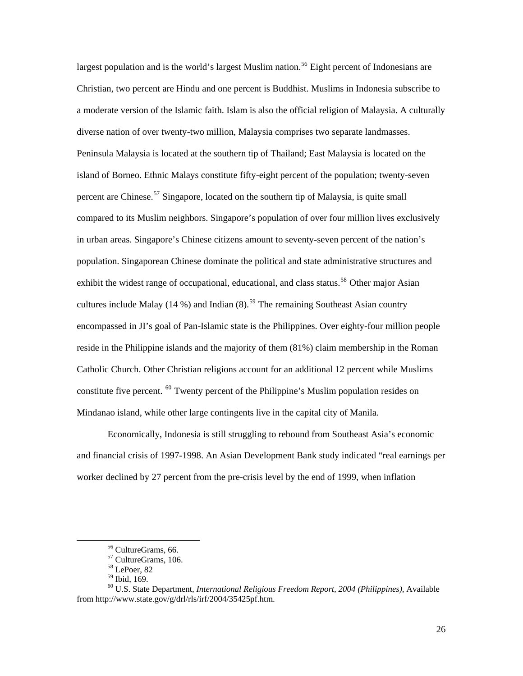largest population and is the world's largest Muslim nation.<sup>[56](#page-30-0)</sup> Eight percent of Indonesians are Christian, two percent are Hindu and one percent is Buddhist. Muslims in Indonesia subscribe to a moderate version of the Islamic faith. Islam is also the official religion of Malaysia. A culturally diverse nation of over twenty-two million, Malaysia comprises two separate landmasses. Peninsula Malaysia is located at the southern tip of Thailand; East Malaysia is located on the island of Borneo. Ethnic Malays constitute fifty-eight percent of the population; twenty-seven percent are Chinese.<sup>[57](#page-30-1)</sup> Singapore, located on the southern tip of Malaysia, is quite small compared to its Muslim neighbors. Singapore's population of over four million lives exclusively in urban areas. Singapore's Chinese citizens amount to seventy-seven percent of the nation's population. Singaporean Chinese dominate the political and state administrative structures and exhibit the widest range of occupational, educational, and class status.<sup>[58](#page-30-2)</sup> Other major Asian cultures include Malay (14 %) and Indian  $(8)$ .<sup>[59](#page-30-3)</sup> The remaining Southeast Asian country encompassed in JI's goal of Pan-Islamic state is the Philippines. Over eighty-four million people reside in the Philippine islands and the majority of them (81%) claim membership in the Roman Catholic Church. Other Christian religions account for an additional 12 percent while Muslims constitute five percent. [60](#page-30-4) Twenty percent of the Philippine's Muslim population resides on Mindanao island, while other large contingents live in the capital city of Manila.

Economically, Indonesia is still struggling to rebound from Southeast Asia's economic and financial crisis of 1997-1998. An Asian Development Bank study indicated "real earnings per worker declined by 27 percent from the pre-crisis level by the end of 1999, when inflation

 <sup>56</sup> CultureGrams, 66.

<sup>57</sup> CultureGrams, 106.

<sup>58</sup> LePoer, 82

<sup>59</sup> Ibid, 169.

<span id="page-30-4"></span><span id="page-30-3"></span><span id="page-30-2"></span><span id="page-30-1"></span><span id="page-30-0"></span><sup>60</sup> U.S. State Department, *International Religious Freedom Report, 2004 (Philippines)*, Available from http://www.state.gov/g/drl/rls/irf/2004/35425pf.htm.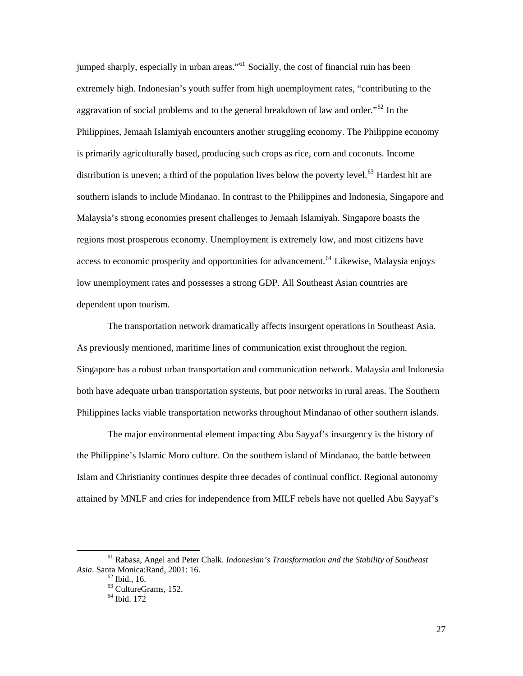jumped sharply, especially in urban areas."<sup>[61](#page-31-0)</sup> Socially, the cost of financial ruin has been extremely high. Indonesian's youth suffer from high unemployment rates, "contributing to the aggravation of social problems and to the general breakdown of law and order."[62](#page-31-1) In the Philippines, Jemaah Islamiyah encounters another struggling economy. The Philippine economy is primarily agriculturally based, producing such crops as rice, corn and coconuts. Income distribution is uneven; a third of the population lives below the poverty level.<sup>[63](#page-31-2)</sup> Hardest hit are southern islands to include Mindanao. In contrast to the Philippines and Indonesia, Singapore and Malaysia's strong economies present challenges to Jemaah Islamiyah. Singapore boasts the regions most prosperous economy. Unemployment is extremely low, and most citizens have access to economic prosperity and opportunities for advancement.<sup>[64](#page-31-3)</sup> Likewise, Malaysia enjoys low unemployment rates and possesses a strong GDP. All Southeast Asian countries are dependent upon tourism.

The transportation network dramatically affects insurgent operations in Southeast Asia. As previously mentioned, maritime lines of communication exist throughout the region. Singapore has a robust urban transportation and communication network. Malaysia and Indonesia both have adequate urban transportation systems, but poor networks in rural areas. The Southern Philippines lacks viable transportation networks throughout Mindanao of other southern islands.

The major environmental element impacting Abu Sayyaf's insurgency is the history of the Philippine's Islamic Moro culture. On the southern island of Mindanao, the battle between Islam and Christianity continues despite three decades of continual conflict. Regional autonomy attained by MNLF and cries for independence from MILF rebels have not quelled Abu Sayyaf's

<span id="page-31-3"></span><span id="page-31-2"></span><span id="page-31-1"></span><span id="page-31-0"></span> <sup>61</sup> Rabasa, Angel and Peter Chalk. *Indonesian's Transformation and the Stability of Southeast Asia*. Santa Monica: Rand, 2001: 16.<br><sup>62</sup> Ibid., 16.

<sup>63</sup> CultureGrams, 152.

<sup>64</sup> Ibid. 172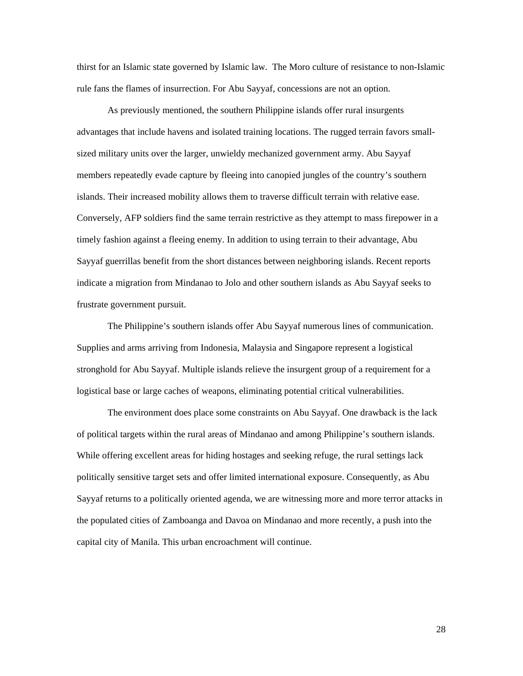thirst for an Islamic state governed by Islamic law. The Moro culture of resistance to non-Islamic rule fans the flames of insurrection. For Abu Sayyaf, concessions are not an option.

As previously mentioned, the southern Philippine islands offer rural insurgents advantages that include havens and isolated training locations. The rugged terrain favors smallsized military units over the larger, unwieldy mechanized government army. Abu Sayyaf members repeatedly evade capture by fleeing into canopied jungles of the country's southern islands. Their increased mobility allows them to traverse difficult terrain with relative ease. Conversely, AFP soldiers find the same terrain restrictive as they attempt to mass firepower in a timely fashion against a fleeing enemy. In addition to using terrain to their advantage, Abu Sayyaf guerrillas benefit from the short distances between neighboring islands. Recent reports indicate a migration from Mindanao to Jolo and other southern islands as Abu Sayyaf seeks to frustrate government pursuit.

The Philippine's southern islands offer Abu Sayyaf numerous lines of communication. Supplies and arms arriving from Indonesia, Malaysia and Singapore represent a logistical stronghold for Abu Sayyaf. Multiple islands relieve the insurgent group of a requirement for a logistical base or large caches of weapons, eliminating potential critical vulnerabilities.

The environment does place some constraints on Abu Sayyaf. One drawback is the lack of political targets within the rural areas of Mindanao and among Philippine's southern islands. While offering excellent areas for hiding hostages and seeking refuge, the rural settings lack politically sensitive target sets and offer limited international exposure. Consequently, as Abu Sayyaf returns to a politically oriented agenda, we are witnessing more and more terror attacks in the populated cities of Zamboanga and Davoa on Mindanao and more recently, a push into the capital city of Manila. This urban encroachment will continue.

28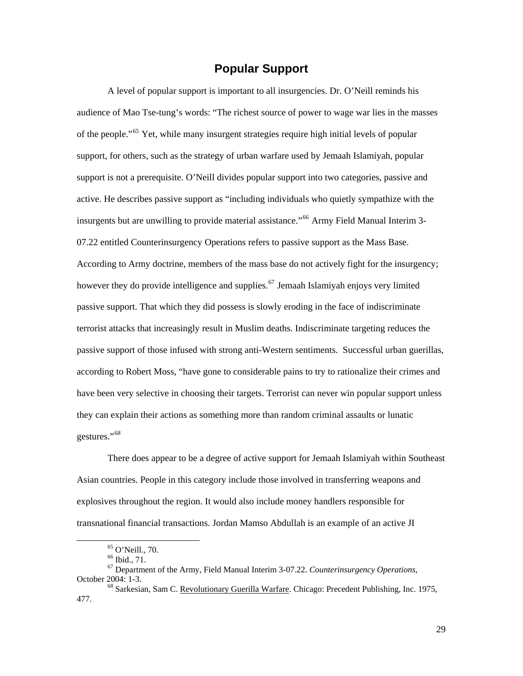# **Popular Support**

<span id="page-33-0"></span>A level of popular support is important to all insurgencies. Dr. O'Neill reminds his audience of Mao Tse-tung's words: "The richest source of power to wage war lies in the masses of the people."[65](#page-33-1) Yet, while many insurgent strategies require high initial levels of popular support, for others, such as the strategy of urban warfare used by Jemaah Islamiyah, popular support is not a prerequisite. O'Neill divides popular support into two categories, passive and active. He describes passive support as "including individuals who quietly sympathize with the insurgents but are unwilling to provide material assistance."<sup>[66](#page-33-2)</sup> Army Field Manual Interim 3-07.22 entitled Counterinsurgency Operations refers to passive support as the Mass Base. According to Army doctrine, members of the mass base do not actively fight for the insurgency; however they do provide intelligence and supplies.<sup>[67](#page-33-3)</sup> Jemaah Islamiyah enjoys very limited passive support. That which they did possess is slowly eroding in the face of indiscriminate terrorist attacks that increasingly result in Muslim deaths. Indiscriminate targeting reduces the passive support of those infused with strong anti-Western sentiments. Successful urban guerillas, according to Robert Moss, "have gone to considerable pains to try to rationalize their crimes and have been very selective in choosing their targets. Terrorist can never win popular support unless they can explain their actions as something more than random criminal assaults or lunatic gestures."[68](#page-33-4)

There does appear to be a degree of active support for Jemaah Islamiyah within Southeast Asian countries. People in this category include those involved in transferring weapons and explosives throughout the region. It would also include money handlers responsible for transnational financial transactions. Jordan Mamso Abdullah is an example of an active JI

 <sup>65</sup> O'Neill., 70.

 $66$  Ibid.,  $71.$ 

<span id="page-33-3"></span><span id="page-33-2"></span><span id="page-33-1"></span><sup>67</sup> Department of the Army, Field Manual Interim 3-07.22. *Counterinsurgency Operations*, October 2004: 1-3.<br><sup>68</sup> Sarkesian, Sam C. <u>Revolutionary Guerilla Warfare</u>. Chicago: Precedent Publishing, Inc. 1975,

<span id="page-33-4"></span><sup>477.</sup>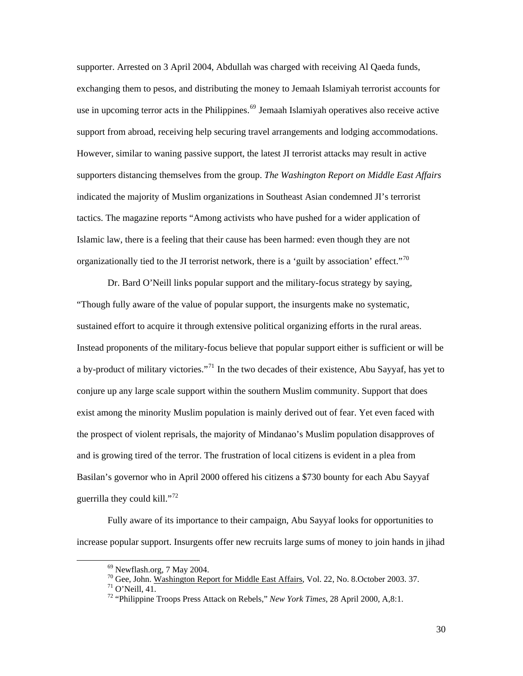supporter. Arrested on 3 April 2004, Abdullah was charged with receiving Al Qaeda funds, exchanging them to pesos, and distributing the money to Jemaah Islamiyah terrorist accounts for use in upcoming terror acts in the Philippines.<sup>[69](#page-34-0)</sup> Jemaah Islamiyah operatives also receive active support from abroad, receiving help securing travel arrangements and lodging accommodations. However, similar to waning passive support, the latest JI terrorist attacks may result in active supporters distancing themselves from the group. *The Washington Report on Middle East Affairs* indicated the majority of Muslim organizations in Southeast Asian condemned JI's terrorist tactics. The magazine reports "Among activists who have pushed for a wider application of Islamic law, there is a feeling that their cause has been harmed: even though they are not organizationally tied to the JI terrorist network, there is a 'guilt by association' effect."<sup>[70](#page-34-1)</sup>

Dr. Bard O'Neill links popular support and the military-focus strategy by saying, "Though fully aware of the value of popular support, the insurgents make no systematic, sustained effort to acquire it through extensive political organizing efforts in the rural areas. Instead proponents of the military-focus believe that popular support either is sufficient or will be a by-product of military victories."<sup>[71](#page-34-2)</sup> In the two decades of their existence, Abu Sayyaf, has yet to conjure up any large scale support within the southern Muslim community. Support that does exist among the minority Muslim population is mainly derived out of fear. Yet even faced with the prospect of violent reprisals, the majority of Mindanao's Muslim population disapproves of and is growing tired of the terror. The frustration of local citizens is evident in a plea from Basilan's governor who in April 2000 offered his citizens a \$730 bounty for each Abu Sayyaf guerrilla they could kill."<sup>[72](#page-34-3)</sup>

<span id="page-34-2"></span><span id="page-34-1"></span><span id="page-34-0"></span>Fully aware of its importance to their campaign, Abu Sayyaf looks for opportunities to increase popular support. Insurgents offer new recruits large sums of money to join hands in jihad

 <sup>69</sup> Newflash.org, 7 May 2004.

 $^{70}$  Gee, John. Washington Report for Middle East Affairs, Vol. 22, No. 8.October 2003. 37.  $^{71}$  O'Neill. 41.

<span id="page-34-3"></span><sup>72 &</sup>quot;Philippine Troops Press Attack on Rebels," *New York Times*, 28 April 2000, A,8:1.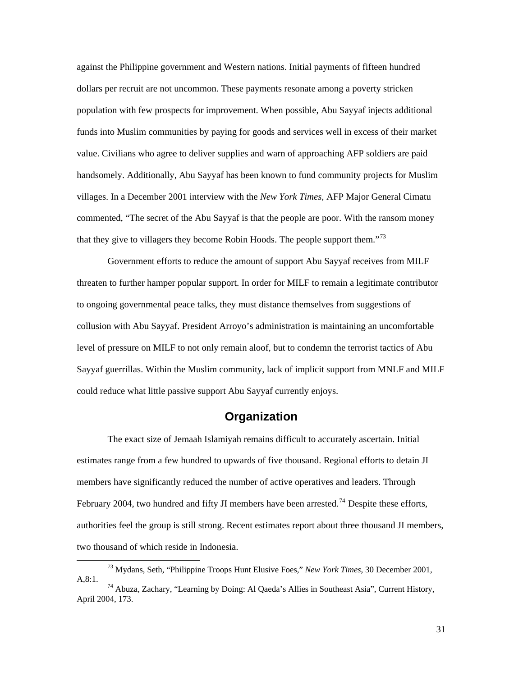<span id="page-35-0"></span>against the Philippine government and Western nations. Initial payments of fifteen hundred dollars per recruit are not uncommon. These payments resonate among a poverty stricken population with few prospects for improvement. When possible, Abu Sayyaf injects additional funds into Muslim communities by paying for goods and services well in excess of their market value. Civilians who agree to deliver supplies and warn of approaching AFP soldiers are paid handsomely. Additionally, Abu Sayyaf has been known to fund community projects for Muslim villages. In a December 2001 interview with the *New York Times*, AFP Major General Cimatu commented, "The secret of the Abu Sayyaf is that the people are poor. With the ransom money that they give to villagers they become Robin Hoods. The people support them."<sup>[73](#page-35-1)</sup>

Government efforts to reduce the amount of support Abu Sayyaf receives from MILF threaten to further hamper popular support. In order for MILF to remain a legitimate contributor to ongoing governmental peace talks, they must distance themselves from suggestions of collusion with Abu Sayyaf. President Arroyo's administration is maintaining an uncomfortable level of pressure on MILF to not only remain aloof, but to condemn the terrorist tactics of Abu Sayyaf guerrillas. Within the Muslim community, lack of implicit support from MNLF and MILF could reduce what little passive support Abu Sayyaf currently enjoys.

# **Organization**

The exact size of Jemaah Islamiyah remains difficult to accurately ascertain. Initial estimates range from a few hundred to upwards of five thousand. Regional efforts to detain JI members have significantly reduced the number of active operatives and leaders. Through February 2004, two hundred and fifty JI members have been arrested.<sup>[74](#page-35-2)</sup> Despite these efforts, authorities feel the group is still strong. Recent estimates report about three thousand JI members, two thousand of which reside in Indonesia.

<span id="page-35-1"></span> <sup>73</sup> Mydans, Seth, "Philippine Troops Hunt Elusive Foes," *New York Times*, 30 December 2001, A,8:1. 74 Abuza, Zachary, "Learning by Doing: Al Qaeda's Allies in Southeast Asia", Current History,

<span id="page-35-2"></span>April 2004, 173.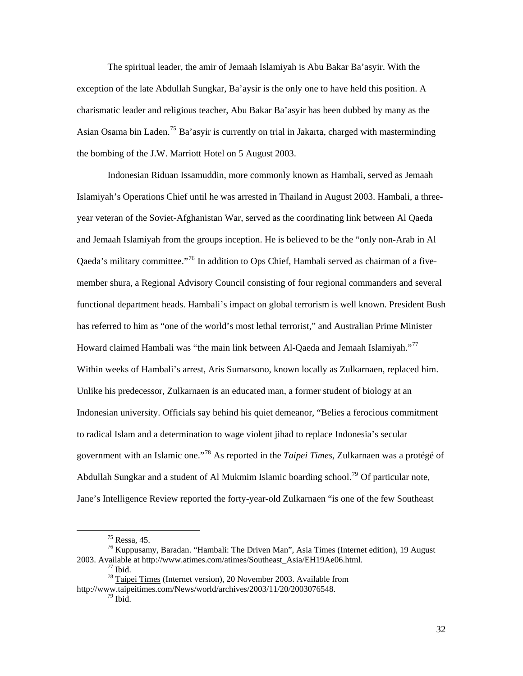The spiritual leader, the amir of Jemaah Islamiyah is Abu Bakar Ba'asyir. With the exception of the late Abdullah Sungkar, Ba'aysir is the only one to have held this position. A charismatic leader and religious teacher, Abu Bakar Ba'asyir has been dubbed by many as the Asian Osama bin Laden.<sup>[75](#page-36-0)</sup> Ba'asyir is currently on trial in Jakarta, charged with masterminding the bombing of the J.W. Marriott Hotel on 5 August 2003.

Indonesian Riduan Issamuddin, more commonly known as Hambali, served as Jemaah Islamiyah's Operations Chief until he was arrested in Thailand in August 2003. Hambali, a threeyear veteran of the Soviet-Afghanistan War, served as the coordinating link between Al Qaeda and Jemaah Islamiyah from the groups inception. He is believed to be the "only non-Arab in Al Qaeda's military committee."[76](#page-36-1) In addition to Ops Chief, Hambali served as chairman of a fivemember shura, a Regional Advisory Council consisting of four regional commanders and several functional department heads. Hambali's impact on global terrorism is well known. President Bush has referred to him as "one of the world's most lethal terrorist," and Australian Prime Minister Howard claimed Hambali was "the main link between Al-Qaeda and Jemaah Islamiyah."<sup>[77](#page-36-2)</sup> Within weeks of Hambali's arrest, Aris Sumarsono, known locally as Zulkarnaen, replaced him. Unlike his predecessor, Zulkarnaen is an educated man, a former student of biology at an Indonesian university. Officials say behind his quiet demeanor, "Belies a ferocious commitment to radical Islam and a determination to wage violent jihad to replace Indonesia's secular government with an Islamic one."[78](#page-36-3) As reported in the *Taipei Times*, Zulkarnaen was a protégé of Abdullah Sungkar and a student of Al Mukmim Islamic boarding school.<sup>[79](#page-36-4)</sup> Of particular note, Jane's Intelligence Review reported the forty-year-old Zulkarnaen "is one of the few Southeast

 <sup>75</sup> Ressa, 45.

<span id="page-36-1"></span><span id="page-36-0"></span><sup>76</sup> Kuppusamy, Baradan. "Hambali: The Driven Man", Asia Times (Internet edition), 19 August 2003. Available at http://www.atimes.com/atimes/Southeast\_Asia/EH19Ae06.html. 77 Ibid.

<sup>78</sup> Taipei Times (Internet version), 20 November 2003. Available from

<span id="page-36-4"></span><span id="page-36-3"></span><span id="page-36-2"></span>http://www.taipeitimes.com/News/world/archives/2003/11/20/2003076548.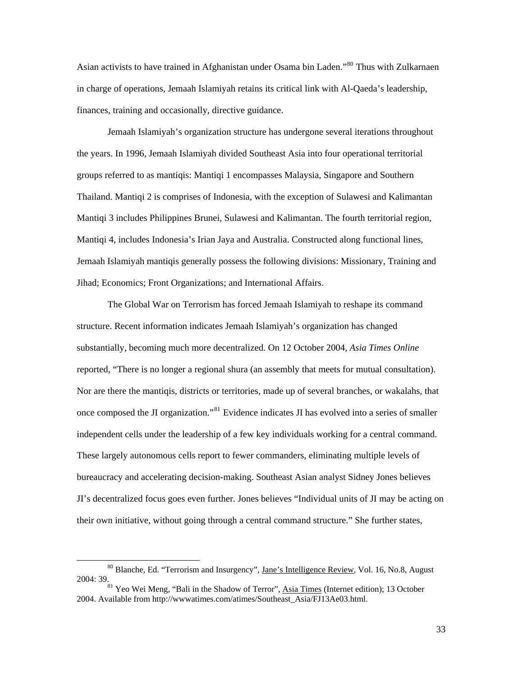Asian activists to have trained in Afghanistan under Osama bin Laden."<sup>[80](#page-37-0)</sup> Thus with Zulkarnaen in charge of operations, Jemaah Islamiyah retains its critical link with Al-Qaeda's leadership, finances, training and occasionally, directive guidance.

Jemaah Islamiyah's organization structure has undergone several iterations throughout the years. In 1996, Jemaah Islamiyah divided Southeast Asia into four operational territorial groups referred to as mantiqis: Mantiqi 1 encompasses Malaysia, Singapore and Southern Thailand. Mantiqi 2 is comprises of Indonesia, with the exception of Sulawesi and Kalimantan Mantiqi 3 includes Philippines Brunei, Sulawesi and Kalimantan. The fourth territorial region, Mantiqi 4, includes Indonesia's Irian Jaya and Australia. Constructed along functional lines, Jemaah Islamiyah mantiqis generally possess the following divisions: Missionary, Training and Jihad; Economics; Front Organizations; and International Affairs.

The Global War on Terrorism has forced Jemaah Islamiyah to reshape its command structure. Recent information indicates Jemaah Islamiyah's organization has changed substantially, becoming much more decentralized. On 12 October 2004, *Asia Times Online* reported, "There is no longer a regional shura (an assembly that meets for mutual consultation). Nor are there the mantiqis, districts or territories, made up of several branches, or wakalahs, that once composed the JI organization."[81](#page-37-1) Evidence indicates JI has evolved into a series of smaller independent cells under the leadership of a few key individuals working for a central command. These largely autonomous cells report to fewer commanders, eliminating multiple levels of bureaucracy and accelerating decision-making. Southeast Asian analyst Sidney Jones believes JI's decentralized focus goes even further. Jones believes "Individual units of JI may be acting on their own initiative, without going through a central command structure." She further states,

<span id="page-37-0"></span><sup>&</sup>lt;sup>80</sup> Blanche, Ed. "Terrorism and Insurgency", <u>Jane's Intelligence Review</u>, Vol. 16, No.8, August 2004: 39.

<span id="page-37-1"></span><sup>&</sup>lt;sup>81</sup> Yeo Wei Meng, "Bali in the Shadow of Terror", Asia Times (Internet edition); 13 October 2004. Available from http://wwwatimes.com/atimes/Southeast\_Asia/FJ13Ae03.html.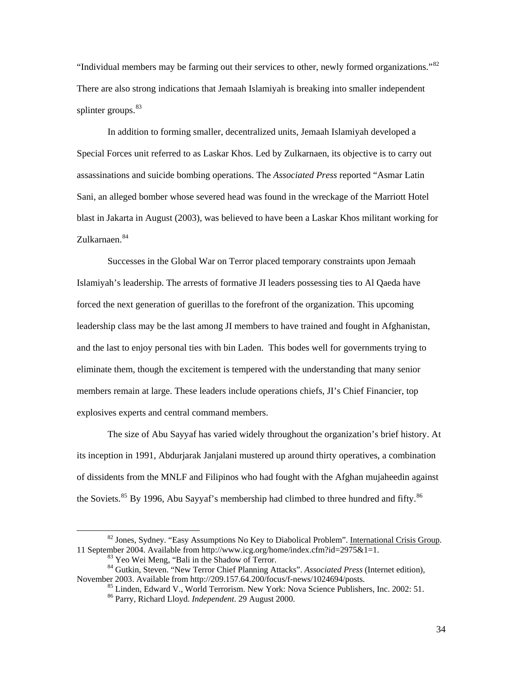"Individual members may be farming out their services to other, newly formed organizations."[82](#page-38-0) There are also strong indications that Jemaah Islamiyah is breaking into smaller independent splinter groups. $83$ 

In addition to forming smaller, decentralized units, Jemaah Islamiyah developed a Special Forces unit referred to as Laskar Khos. Led by Zulkarnaen, its objective is to carry out assassinations and suicide bombing operations. The *Associated Press* reported "Asmar Latin Sani, an alleged bomber whose severed head was found in the wreckage of the Marriott Hotel blast in Jakarta in August (2003), was believed to have been a Laskar Khos militant working for Zulkarnaen<sup>[84](#page-38-2)</sup>

Successes in the Global War on Terror placed temporary constraints upon Jemaah Islamiyah's leadership. The arrests of formative JI leaders possessing ties to Al Qaeda have forced the next generation of guerillas to the forefront of the organization. This upcoming leadership class may be the last among JI members to have trained and fought in Afghanistan, and the last to enjoy personal ties with bin Laden. This bodes well for governments trying to eliminate them, though the excitement is tempered with the understanding that many senior members remain at large. These leaders include operations chiefs, JI's Chief Financier, top explosives experts and central command members.

The size of Abu Sayyaf has varied widely throughout the organization's brief history. At its inception in 1991, Abdurjarak Janjalani mustered up around thirty operatives, a combination of dissidents from the MNLF and Filipinos who had fought with the Afghan mujaheedin against the Soviets.<sup>[85](#page-38-3)</sup> By 1996, Abu Sayyaf's membership had climbed to three hundred and fifty.<sup>[86](#page-38-4)</sup>

<span id="page-38-0"></span><sup>&</sup>lt;sup>82</sup> Jones, Sydney. "Easy Assumptions No Key to Diabolical Problem". International Crisis Group. 11 September 2004. Available from http://www.icg.org/home/index.cfm?id=2975&1=1. 83 Yeo Wei Meng, "Bali in the Shadow of Terror.

<span id="page-38-4"></span><span id="page-38-3"></span><span id="page-38-2"></span><span id="page-38-1"></span><sup>&</sup>lt;sup>84</sup> Gutkin, Steven. "New Terror Chief Planning Attacks". *Associated Press* (Internet edition), November 2003. Available from http://209.157.64.200/focus/f-news/1024694/posts.

 $^{85}$  Linden, Edward V., World Terrorism. New York: Nova Science Publishers, Inc. 2002: 51.<br><sup>86</sup> Parry, Richard Lloyd. *Independent*. 29 August 2000.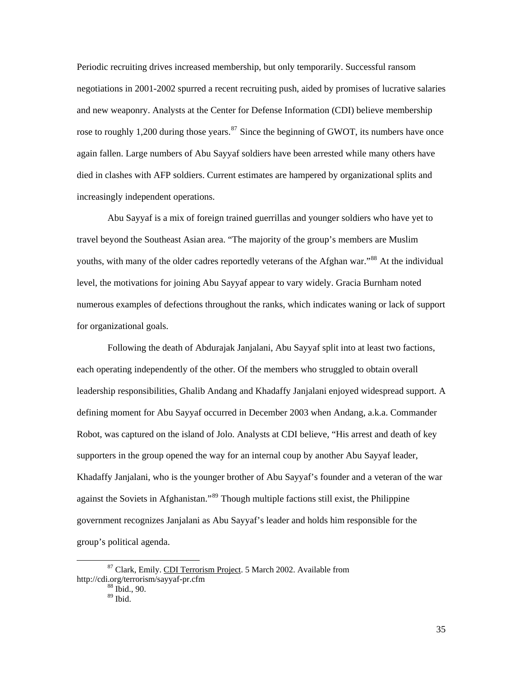Periodic recruiting drives increased membership, but only temporarily. Successful ransom negotiations in 2001-2002 spurred a recent recruiting push, aided by promises of lucrative salaries and new weaponry. Analysts at the Center for Defense Information (CDI) believe membership rose to roughly 1,200 during those years.<sup>[87](#page-39-0)</sup> Since the beginning of GWOT, its numbers have once again fallen. Large numbers of Abu Sayyaf soldiers have been arrested while many others have died in clashes with AFP soldiers. Current estimates are hampered by organizational splits and increasingly independent operations.

Abu Sayyaf is a mix of foreign trained guerrillas and younger soldiers who have yet to travel beyond the Southeast Asian area. "The majority of the group's members are Muslim youths, with many of the older cadres reportedly veterans of the Afghan war."<sup>[88](#page-39-1)</sup> At the individual level, the motivations for joining Abu Sayyaf appear to vary widely. Gracia Burnham noted numerous examples of defections throughout the ranks, which indicates waning or lack of support for organizational goals.

Following the death of Abdurajak Janjalani, Abu Sayyaf split into at least two factions, each operating independently of the other. Of the members who struggled to obtain overall leadership responsibilities, Ghalib Andang and Khadaffy Janjalani enjoyed widespread support. A defining moment for Abu Sayyaf occurred in December 2003 when Andang, a.k.a. Commander Robot, was captured on the island of Jolo. Analysts at CDI believe, "His arrest and death of key supporters in the group opened the way for an internal coup by another Abu Sayyaf leader, Khadaffy Janjalani, who is the younger brother of Abu Sayyaf's founder and a veteran of the war against the Soviets in Afghanistan."<sup>[89](#page-39-2)</sup> Though multiple factions still exist, the Philippine government recognizes Janjalani as Abu Sayyaf's leader and holds him responsible for the group's political agenda.

<span id="page-39-2"></span><span id="page-39-1"></span><span id="page-39-0"></span> <sup>87</sup> Clark, Emily. CDI Terrorism Project. 5 March 2002. Available from http://cdi.org/terrorism/sayyaf-pr.cfm<br><sup>88</sup> Ibid., 90.

<sup>89</sup> Ibid.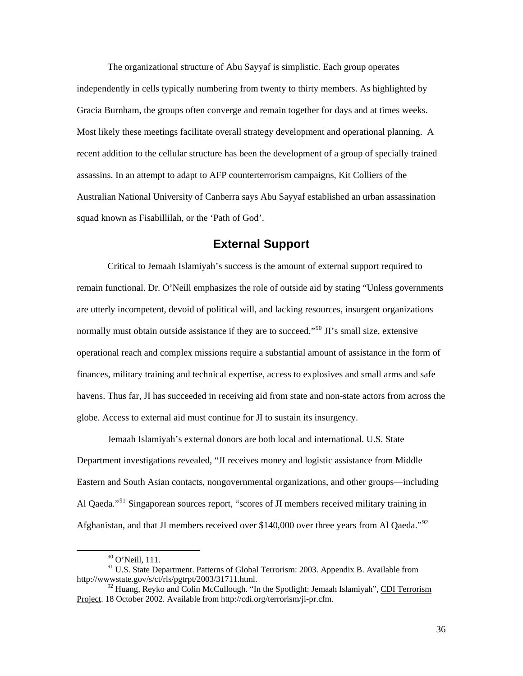<span id="page-40-0"></span>The organizational structure of Abu Sayyaf is simplistic. Each group operates independently in cells typically numbering from twenty to thirty members. As highlighted by Gracia Burnham, the groups often converge and remain together for days and at times weeks. Most likely these meetings facilitate overall strategy development and operational planning. A recent addition to the cellular structure has been the development of a group of specially trained assassins. In an attempt to adapt to AFP counterterrorism campaigns, Kit Colliers of the Australian National University of Canberra says Abu Sayyaf established an urban assassination squad known as Fisabillilah, or the 'Path of God'.

# **External Support**

Critical to Jemaah Islamiyah's success is the amount of external support required to remain functional. Dr. O'Neill emphasizes the role of outside aid by stating "Unless governments are utterly incompetent, devoid of political will, and lacking resources, insurgent organizations normally must obtain outside assistance if they are to succeed."<sup>[90](#page-40-1)</sup> JI's small size, extensive operational reach and complex missions require a substantial amount of assistance in the form of finances, military training and technical expertise, access to explosives and small arms and safe havens. Thus far, JI has succeeded in receiving aid from state and non-state actors from across the globe. Access to external aid must continue for JI to sustain its insurgency.

Jemaah Islamiyah's external donors are both local and international. U.S. State Department investigations revealed, "JI receives money and logistic assistance from Middle Eastern and South Asian contacts, nongovernmental organizations, and other groups—including Al Qaeda."<sup>[91](#page-40-2)</sup> Singaporean sources report, "scores of JI members received military training in Afghanistan, and that JI members received over \$140,000 over three years from Al Qaeda."<sup>[92](#page-40-3)</sup>

 <sup>90</sup> O'Neill, 111.

<span id="page-40-2"></span><span id="page-40-1"></span><sup>&</sup>lt;sup>91</sup> U.S. State Department. Patterns of Global Terrorism: 2003. Appendix B. Available from http://wwwstate.gov/s/ct/rls/pgtrpt/2003/31711.html.

<span id="page-40-3"></span> $92$  Huang, Reyko and Colin McCullough. "In the Spotlight: Jemaah Islamiyah", CDI Terrorism Project. 18 October 2002. Available from http://cdi.org/terrorism/ji-pr.cfm.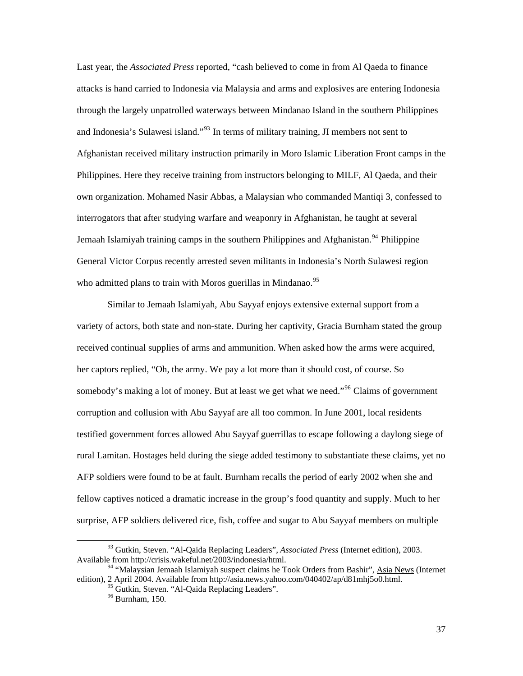Last year, the *Associated Press* reported, "cash believed to come in from Al Qaeda to finance attacks is hand carried to Indonesia via Malaysia and arms and explosives are entering Indonesia through the largely unpatrolled waterways between Mindanao Island in the southern Philippines and Indonesia's Sulawesi island."<sup>[93](#page-41-0)</sup> In terms of military training, JI members not sent to Afghanistan received military instruction primarily in Moro Islamic Liberation Front camps in the Philippines. Here they receive training from instructors belonging to MILF, Al Qaeda, and their own organization. Mohamed Nasir Abbas, a Malaysian who commanded Mantiqi 3, confessed to interrogators that after studying warfare and weaponry in Afghanistan, he taught at several Jemaah Islamiyah training camps in the southern Philippines and Afghanistan.<sup>[94](#page-41-1)</sup> Philippine General Victor Corpus recently arrested seven militants in Indonesia's North Sulawesi region who admitted plans to train with Moros guerillas in Mindanao.<sup>[95](#page-41-2)</sup>

Similar to Jemaah Islamiyah, Abu Sayyaf enjoys extensive external support from a variety of actors, both state and non-state. During her captivity, Gracia Burnham stated the group received continual supplies of arms and ammunition. When asked how the arms were acquired, her captors replied, "Oh, the army. We pay a lot more than it should cost, of course. So somebody's making a lot of money. But at least we get what we need."<sup>[96](#page-41-3)</sup> Claims of government corruption and collusion with Abu Sayyaf are all too common. In June 2001, local residents testified government forces allowed Abu Sayyaf guerrillas to escape following a daylong siege of rural Lamitan. Hostages held during the siege added testimony to substantiate these claims, yet no AFP soldiers were found to be at fault. Burnham recalls the period of early 2002 when she and fellow captives noticed a dramatic increase in the group's food quantity and supply. Much to her surprise, AFP soldiers delivered rice, fish, coffee and sugar to Abu Sayyaf members on multiple

<span id="page-41-0"></span> <sup>93</sup> Gutkin, Steven. "Al-Qaida Replacing Leaders", *Associated Press* (Internet edition), 2003. Available from http://crisis.wakeful.net/2003/indonesia/html.

<span id="page-41-3"></span><span id="page-41-2"></span><span id="page-41-1"></span><sup>&</sup>lt;sup>94</sup> "Malaysian Jemaah Islamiyah suspect claims he Took Orders from Bashir", Asia News (Internet edition), 2 April 2004. Available from http://asia.news.yahoo.com/040402/ap/d81mhj5o0.html.

<sup>&</sup>lt;sup>95</sup> Gutkin, Steven. "Al-Qaida Replacing Leaders".

<sup>96</sup> Burnham, 150.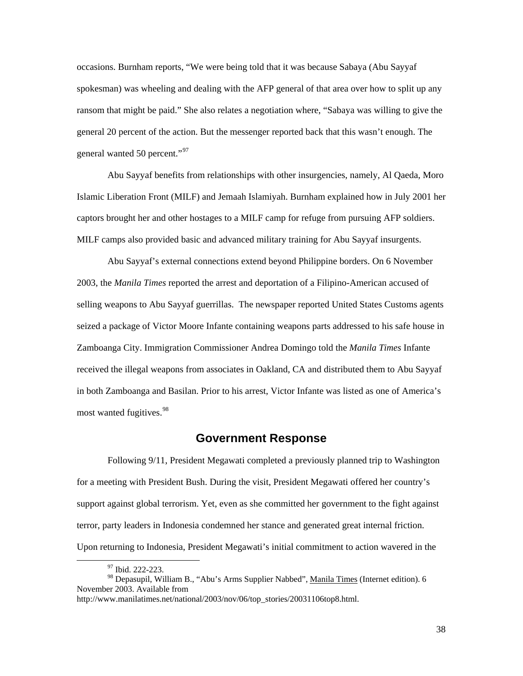<span id="page-42-0"></span>occasions. Burnham reports, "We were being told that it was because Sabaya (Abu Sayyaf spokesman) was wheeling and dealing with the AFP general of that area over how to split up any ransom that might be paid." She also relates a negotiation where, "Sabaya was willing to give the general 20 percent of the action. But the messenger reported back that this wasn't enough. The general wanted 50 percent."<sup>[97](#page-42-1)</sup>

Abu Sayyaf benefits from relationships with other insurgencies, namely, Al Qaeda, Moro Islamic Liberation Front (MILF) and Jemaah Islamiyah. Burnham explained how in July 2001 her captors brought her and other hostages to a MILF camp for refuge from pursuing AFP soldiers. MILF camps also provided basic and advanced military training for Abu Sayyaf insurgents.

Abu Sayyaf's external connections extend beyond Philippine borders. On 6 November 2003, the *Manila Times* reported the arrest and deportation of a Filipino-American accused of selling weapons to Abu Sayyaf guerrillas. The newspaper reported United States Customs agents seized a package of Victor Moore Infante containing weapons parts addressed to his safe house in Zamboanga City. Immigration Commissioner Andrea Domingo told the *Manila Times* Infante received the illegal weapons from associates in Oakland, CA and distributed them to Abu Sayyaf in both Zamboanga and Basilan. Prior to his arrest, Victor Infante was listed as one of America's most wanted fugitives.<sup>[98](#page-42-2)</sup>

### **Government Response**

Following 9/11, President Megawati completed a previously planned trip to Washington for a meeting with President Bush. During the visit, President Megawati offered her country's support against global terrorism. Yet, even as she committed her government to the fight against terror, party leaders in Indonesia condemned her stance and generated great internal friction. Upon returning to Indonesia, President Megawati's initial commitment to action wavered in the

38

 <sup>97</sup> Ibid. 222-223.

<span id="page-42-2"></span><span id="page-42-1"></span><sup>98</sup> Depasupil, William B., "Abu's Arms Supplier Nabbed", Manila Times (Internet edition). 6 November 2003. Available from

http://www.manilatimes.net/national/2003/nov/06/top\_stories/20031106top8.html.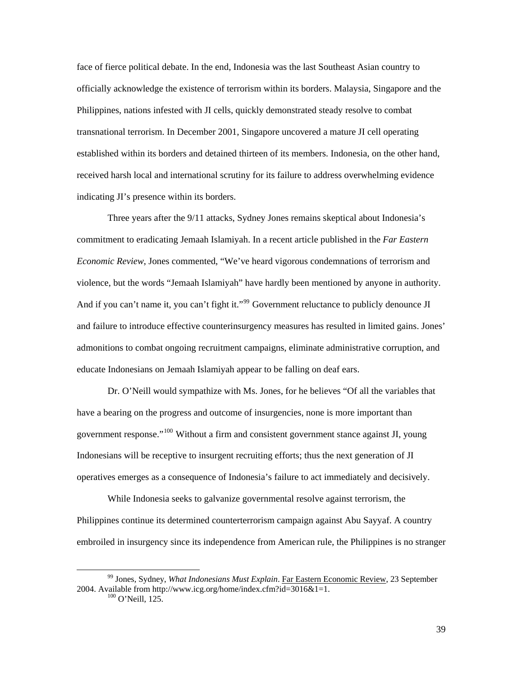face of fierce political debate. In the end, Indonesia was the last Southeast Asian country to officially acknowledge the existence of terrorism within its borders. Malaysia, Singapore and the Philippines, nations infested with JI cells, quickly demonstrated steady resolve to combat transnational terrorism. In December 2001, Singapore uncovered a mature JI cell operating established within its borders and detained thirteen of its members. Indonesia, on the other hand, received harsh local and international scrutiny for its failure to address overwhelming evidence indicating JI's presence within its borders.

Three years after the 9/11 attacks, Sydney Jones remains skeptical about Indonesia's commitment to eradicating Jemaah Islamiyah. In a recent article published in the *Far Eastern Economic Review*, Jones commented, "We've heard vigorous condemnations of terrorism and violence, but the words "Jemaah Islamiyah" have hardly been mentioned by anyone in authority. And if you can't name it, you can't fight it."<sup>[99](#page-43-0)</sup> Government reluctance to publicly denounce JI and failure to introduce effective counterinsurgency measures has resulted in limited gains. Jones' admonitions to combat ongoing recruitment campaigns, eliminate administrative corruption, and educate Indonesians on Jemaah Islamiyah appear to be falling on deaf ears.

Dr. O'Neill would sympathize with Ms. Jones, for he believes "Of all the variables that have a bearing on the progress and outcome of insurgencies, none is more important than government response."[100](#page-43-1) Without a firm and consistent government stance against JI, young Indonesians will be receptive to insurgent recruiting efforts; thus the next generation of JI operatives emerges as a consequence of Indonesia's failure to act immediately and decisively.

While Indonesia seeks to galvanize governmental resolve against terrorism, the Philippines continue its determined counterterrorism campaign against Abu Sayyaf. A country embroiled in insurgency since its independence from American rule, the Philippines is no stranger

<span id="page-43-1"></span><span id="page-43-0"></span> <sup>99</sup> Jones, Sydney, *What Indonesians Must Explain*. Far Eastern Economic Review, 23 September 2004. Available from http://www.icg.org/home/index.cfm?id=3016&1=1. <sup>100</sup> O'Neill, 125.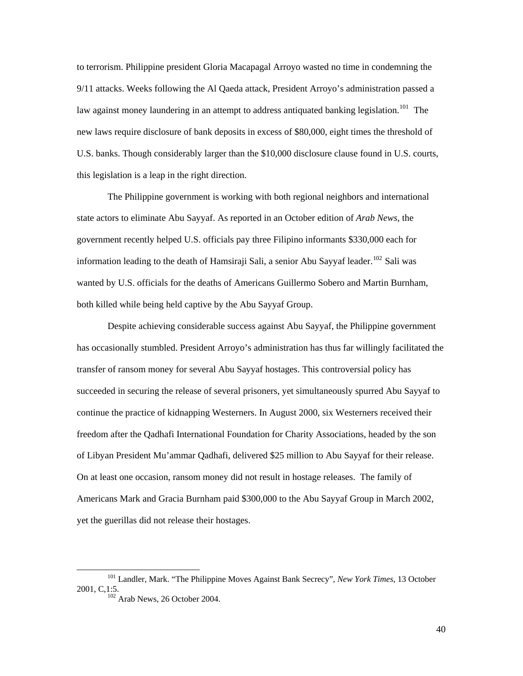to terrorism. Philippine president Gloria Macapagal Arroyo wasted no time in condemning the 9/11 attacks. Weeks following the Al Qaeda attack, President Arroyo's administration passed a law against money laundering in an attempt to address antiquated banking legislation.<sup>[101](#page-44-0)</sup> The new laws require disclosure of bank deposits in excess of \$80,000, eight times the threshold of U.S. banks. Though considerably larger than the \$10,000 disclosure clause found in U.S. courts, this legislation is a leap in the right direction.

The Philippine government is working with both regional neighbors and international state actors to eliminate Abu Sayyaf. As reported in an October edition of *Arab News*, the government recently helped U.S. officials pay three Filipino informants \$330,000 each for information leading to the death of Hamsiraji Sali, a senior Abu Sayyaf leader.<sup>[102](#page-44-1)</sup> Sali was wanted by U.S. officials for the deaths of Americans Guillermo Sobero and Martin Burnham, both killed while being held captive by the Abu Sayyaf Group.

Despite achieving considerable success against Abu Sayyaf, the Philippine government has occasionally stumbled. President Arroyo's administration has thus far willingly facilitated the transfer of ransom money for several Abu Sayyaf hostages. This controversial policy has succeeded in securing the release of several prisoners, yet simultaneously spurred Abu Sayyaf to continue the practice of kidnapping Westerners. In August 2000, six Westerners received their freedom after the Qadhafi International Foundation for Charity Associations, headed by the son of Libyan President Mu'ammar Qadhafi, delivered \$25 million to Abu Sayyaf for their release. On at least one occasion, ransom money did not result in hostage releases. The family of Americans Mark and Gracia Burnham paid \$300,000 to the Abu Sayyaf Group in March 2002, yet the guerillas did not release their hostages.

<span id="page-44-1"></span><span id="page-44-0"></span> <sup>101</sup> Landler, Mark. "The Philippine Moves Against Bank Secrecy", *New York Times*, 13 October 2001, C,1:5.<br><sup>102</sup> Arab News, 26 October 2004.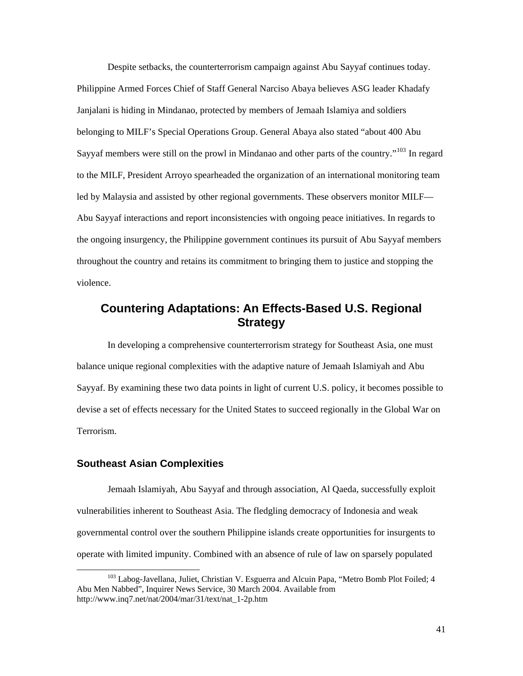<span id="page-45-0"></span>Despite setbacks, the counterterrorism campaign against Abu Sayyaf continues today. Philippine Armed Forces Chief of Staff General Narciso Abaya believes ASG leader Khadafy Janjalani is hiding in Mindanao, protected by members of Jemaah Islamiya and soldiers belonging to MILF's Special Operations Group. General Abaya also stated "about 400 Abu Sayyaf members were still on the prowl in Mindanao and other parts of the country."<sup>[103](#page-45-1)</sup> In regard to the MILF, President Arroyo spearheaded the organization of an international monitoring team led by Malaysia and assisted by other regional governments. These observers monitor MILF— Abu Sayyaf interactions and report inconsistencies with ongoing peace initiatives. In regards to the ongoing insurgency, the Philippine government continues its pursuit of Abu Sayyaf members throughout the country and retains its commitment to bringing them to justice and stopping the violence.

# **Countering Adaptations: An Effects-Based U.S. Regional Strategy**

In developing a comprehensive counterterrorism strategy for Southeast Asia, one must balance unique regional complexities with the adaptive nature of Jemaah Islamiyah and Abu Sayyaf. By examining these two data points in light of current U.S. policy, it becomes possible to devise a set of effects necessary for the United States to succeed regionally in the Global War on Terrorism.

#### **Southeast Asian Complexities**

Jemaah Islamiyah, Abu Sayyaf and through association, Al Qaeda, successfully exploit vulnerabilities inherent to Southeast Asia. The fledgling democracy of Indonesia and weak governmental control over the southern Philippine islands create opportunities for insurgents to operate with limited impunity. Combined with an absence of rule of law on sparsely populated

<span id="page-45-1"></span><sup>&</sup>lt;sup>103</sup> Labog-Javellana, Juliet, Christian V. Esguerra and Alcuin Papa, "Metro Bomb Plot Foiled; 4 Abu Men Nabbed", Inquirer News Service, 30 March 2004. Available from http://www.inq7.net/nat/2004/mar/31/text/nat\_1-2p.htm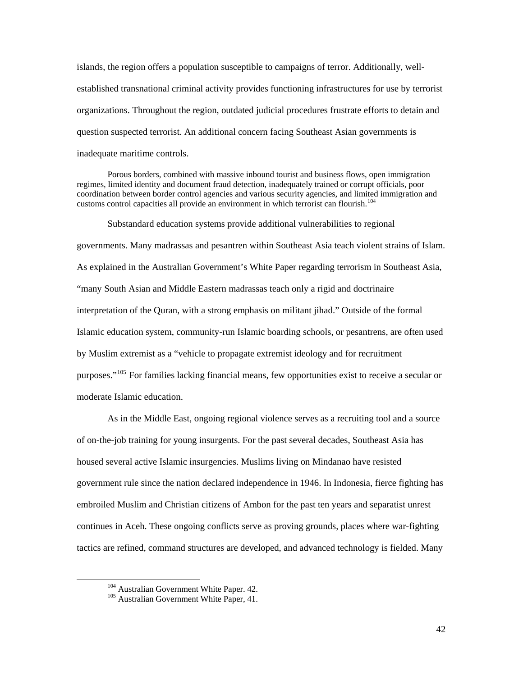islands, the region offers a population susceptible to campaigns of terror. Additionally, wellestablished transnational criminal activity provides functioning infrastructures for use by terrorist organizations. Throughout the region, outdated judicial procedures frustrate efforts to detain and question suspected terrorist. An additional concern facing Southeast Asian governments is inadequate maritime controls.

Porous borders, combined with massive inbound tourist and business flows, open immigration regimes, limited identity and document fraud detection, inadequately trained or corrupt officials, poor coordination between border control agencies and various security agencies, and limited immigration and customs control capacities all provide an environment in which terrorist can flourish.<sup>[104](#page-46-0)</sup>

Substandard education systems provide additional vulnerabilities to regional governments. Many madrassas and pesantren within Southeast Asia teach violent strains of Islam. As explained in the Australian Government's White Paper regarding terrorism in Southeast Asia, "many South Asian and Middle Eastern madrassas teach only a rigid and doctrinaire interpretation of the Quran, with a strong emphasis on militant jihad." Outside of the formal Islamic education system, community-run Islamic boarding schools, or pesantrens, are often used by Muslim extremist as a "vehicle to propagate extremist ideology and for recruitment purposes."[105](#page-46-1) For families lacking financial means, few opportunities exist to receive a secular or moderate Islamic education.

As in the Middle East, ongoing regional violence serves as a recruiting tool and a source of on-the-job training for young insurgents. For the past several decades, Southeast Asia has housed several active Islamic insurgencies. Muslims living on Mindanao have resisted government rule since the nation declared independence in 1946. In Indonesia, fierce fighting has embroiled Muslim and Christian citizens of Ambon for the past ten years and separatist unrest continues in Aceh. These ongoing conflicts serve as proving grounds, places where war-fighting tactics are refined, command structures are developed, and advanced technology is fielded. Many

<span id="page-46-1"></span><span id="page-46-0"></span><sup>&</sup>lt;sup>104</sup> Australian Government White Paper. 42.<br><sup>105</sup> Australian Government White Paper, 41.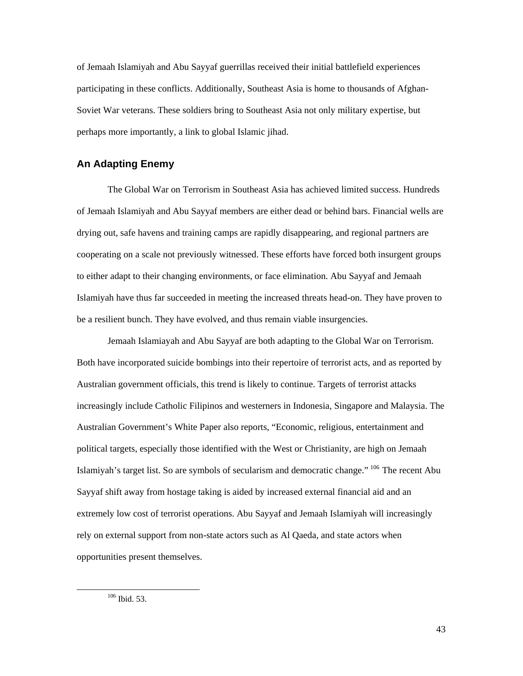<span id="page-47-0"></span>of Jemaah Islamiyah and Abu Sayyaf guerrillas received their initial battlefield experiences participating in these conflicts. Additionally, Southeast Asia is home to thousands of Afghan-Soviet War veterans. These soldiers bring to Southeast Asia not only military expertise, but perhaps more importantly, a link to global Islamic jihad.

### **An Adapting Enemy**

The Global War on Terrorism in Southeast Asia has achieved limited success. Hundreds of Jemaah Islamiyah and Abu Sayyaf members are either dead or behind bars. Financial wells are drying out, safe havens and training camps are rapidly disappearing, and regional partners are cooperating on a scale not previously witnessed. These efforts have forced both insurgent groups to either adapt to their changing environments, or face elimination. Abu Sayyaf and Jemaah Islamiyah have thus far succeeded in meeting the increased threats head-on. They have proven to be a resilient bunch. They have evolved, and thus remain viable insurgencies.

<span id="page-47-1"></span>Jemaah Islamiayah and Abu Sayyaf are both adapting to the Global War on Terrorism. Both have incorporated suicide bombings into their repertoire of terrorist acts, and as reported by Australian government officials, this trend is likely to continue. Targets of terrorist attacks increasingly include Catholic Filipinos and westerners in Indonesia, Singapore and Malaysia. The Australian Government's White Paper also reports, "Economic, religious, entertainment and political targets, especially those identified with the West or Christianity, are high on Jemaah Islamiyah's target list. So are symbols of secularism and democratic change." [106](#page-47-1) The recent Abu Sayyaf shift away from hostage taking is aided by increased external financial aid and an extremely low cost of terrorist operations. Abu Sayyaf and Jemaah Islamiyah will increasingly rely on external support from non-state actors such as Al Qaeda, and state actors when opportunities present themselves.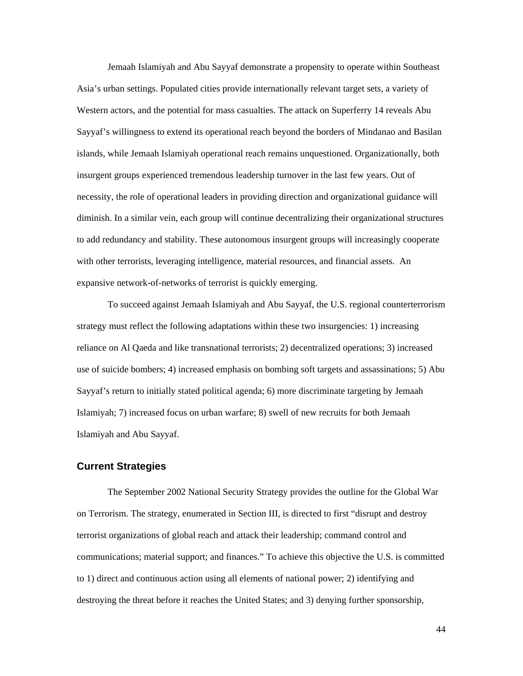<span id="page-48-0"></span>Jemaah Islamiyah and Abu Sayyaf demonstrate a propensity to operate within Southeast Asia's urban settings. Populated cities provide internationally relevant target sets, a variety of Western actors, and the potential for mass casualties. The attack on Superferry 14 reveals Abu Sayyaf's willingness to extend its operational reach beyond the borders of Mindanao and Basilan islands, while Jemaah Islamiyah operational reach remains unquestioned. Organizationally, both insurgent groups experienced tremendous leadership turnover in the last few years. Out of necessity, the role of operational leaders in providing direction and organizational guidance will diminish. In a similar vein, each group will continue decentralizing their organizational structures to add redundancy and stability. These autonomous insurgent groups will increasingly cooperate with other terrorists, leveraging intelligence, material resources, and financial assets. An expansive network-of-networks of terrorist is quickly emerging.

To succeed against Jemaah Islamiyah and Abu Sayyaf, the U.S. regional counterterrorism strategy must reflect the following adaptations within these two insurgencies: 1) increasing reliance on Al Qaeda and like transnational terrorists; 2) decentralized operations; 3) increased use of suicide bombers; 4) increased emphasis on bombing soft targets and assassinations; 5) Abu Sayyaf's return to initially stated political agenda; 6) more discriminate targeting by Jemaah Islamiyah; 7) increased focus on urban warfare; 8) swell of new recruits for both Jemaah Islamiyah and Abu Sayyaf.

#### **Current Strategies**

The September 2002 National Security Strategy provides the outline for the Global War on Terrorism. The strategy, enumerated in Section III, is directed to first "disrupt and destroy terrorist organizations of global reach and attack their leadership; command control and communications; material support; and finances." To achieve this objective the U.S. is committed to 1) direct and continuous action using all elements of national power; 2) identifying and destroying the threat before it reaches the United States; and 3) denying further sponsorship,

44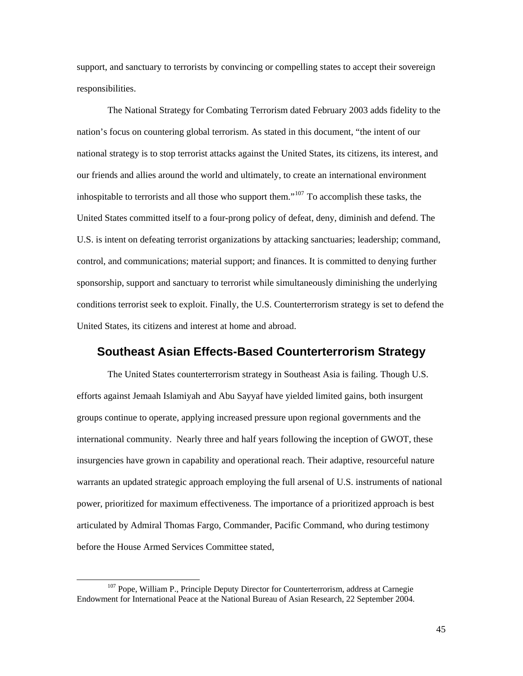<span id="page-49-0"></span>support, and sanctuary to terrorists by convincing or compelling states to accept their sovereign responsibilities.

The National Strategy for Combating Terrorism dated February 2003 adds fidelity to the nation's focus on countering global terrorism. As stated in this document, "the intent of our national strategy is to stop terrorist attacks against the United States, its citizens, its interest, and our friends and allies around the world and ultimately, to create an international environment inhospitable to terrorists and all those who support them."<sup>[107](#page-49-1)</sup> To accomplish these tasks, the United States committed itself to a four-prong policy of defeat, deny, diminish and defend. The U.S. is intent on defeating terrorist organizations by attacking sanctuaries; leadership; command, control, and communications; material support; and finances. It is committed to denying further sponsorship, support and sanctuary to terrorist while simultaneously diminishing the underlying conditions terrorist seek to exploit. Finally, the U.S. Counterterrorism strategy is set to defend the United States, its citizens and interest at home and abroad.

# **Southeast Asian Effects-Based Counterterrorism Strategy**

The United States counterterrorism strategy in Southeast Asia is failing. Though U.S. efforts against Jemaah Islamiyah and Abu Sayyaf have yielded limited gains, both insurgent groups continue to operate, applying increased pressure upon regional governments and the international community. Nearly three and half years following the inception of GWOT, these insurgencies have grown in capability and operational reach. Their adaptive, resourceful nature warrants an updated strategic approach employing the full arsenal of U.S. instruments of national power, prioritized for maximum effectiveness. The importance of a prioritized approach is best articulated by Admiral Thomas Fargo, Commander, Pacific Command, who during testimony before the House Armed Services Committee stated,

<span id="page-49-1"></span><sup>&</sup>lt;sup>107</sup> Pope, William P., Principle Deputy Director for Counterterrorism, address at Carnegie Endowment for International Peace at the National Bureau of Asian Research, 22 September 2004.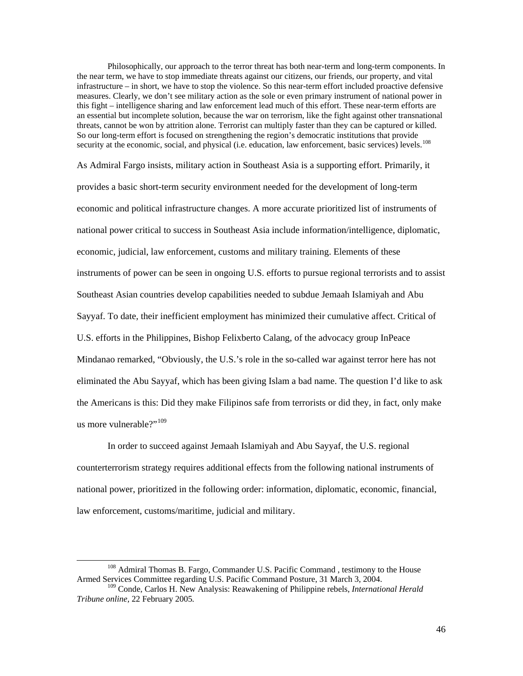Philosophically, our approach to the terror threat has both near-term and long-term components. In the near term, we have to stop immediate threats against our citizens, our friends, our property, and vital infrastructure – in short, we have to stop the violence. So this near-term effort included proactive defensive measures. Clearly, we don't see military action as the sole or even primary instrument of national power in this fight – intelligence sharing and law enforcement lead much of this effort. These near-term efforts are an essential but incomplete solution, because the war on terrorism, like the fight against other transnational threats, cannot be won by attrition alone. Terrorist can multiply faster than they can be captured or killed. So our long-term effort is focused on strengthening the region's democratic institutions that provide security at the economic, social, and physical (i.e. education, law enforcement, basic services) levels.<sup>[108](#page-50-0)</sup>

As Admiral Fargo insists, military action in Southeast Asia is a supporting effort. Primarily, it provides a basic short-term security environment needed for the development of long-term economic and political infrastructure changes. A more accurate prioritized list of instruments of national power critical to success in Southeast Asia include information/intelligence, diplomatic, economic, judicial, law enforcement, customs and military training. Elements of these instruments of power can be seen in ongoing U.S. efforts to pursue regional terrorists and to assist Southeast Asian countries develop capabilities needed to subdue Jemaah Islamiyah and Abu Sayyaf. To date, their inefficient employment has minimized their cumulative affect. Critical of U.S. efforts in the Philippines, Bishop Felixberto Calang, of the advocacy group InPeace Mindanao remarked, "Obviously, the U.S.'s role in the so-called war against terror here has not eliminated the Abu Sayyaf, which has been giving Islam a bad name. The question I'd like to ask the Americans is this: Did they make Filipinos safe from terrorists or did they, in fact, only make us more vulnerable?"<sup>[109](#page-50-1)</sup>

In order to succeed against Jemaah Islamiyah and Abu Sayyaf, the U.S. regional counterterrorism strategy requires additional effects from the following national instruments of national power, prioritized in the following order: information, diplomatic, economic, financial, law enforcement, customs/maritime, judicial and military.

<span id="page-50-0"></span><sup>&</sup>lt;sup>108</sup> Admiral Thomas B. Fargo, Commander U.S. Pacific Command, testimony to the House Armed Services Committee regarding U.S. Pacific Command Posture, 31 March 3, 2004.

<span id="page-50-1"></span><sup>109</sup> Conde, Carlos H. New Analysis: Reawakening of Philippine rebels, *International Herald Tribune online,* 22 February 2005*.*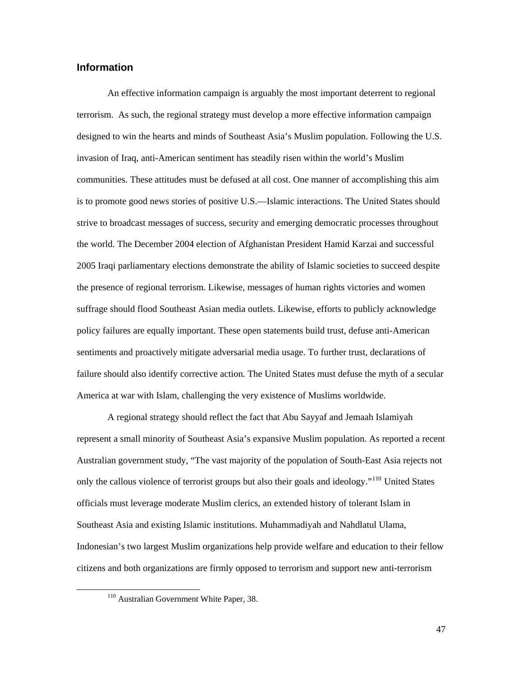### <span id="page-51-0"></span>**Information**

An effective information campaign is arguably the most important deterrent to regional terrorism. As such, the regional strategy must develop a more effective information campaign designed to win the hearts and minds of Southeast Asia's Muslim population. Following the U.S. invasion of Iraq, anti-American sentiment has steadily risen within the world's Muslim communities. These attitudes must be defused at all cost. One manner of accomplishing this aim is to promote good news stories of positive U.S.—Islamic interactions. The United States should strive to broadcast messages of success, security and emerging democratic processes throughout the world. The December 2004 election of Afghanistan President Hamid Karzai and successful 2005 Iraqi parliamentary elections demonstrate the ability of Islamic societies to succeed despite the presence of regional terrorism. Likewise, messages of human rights victories and women suffrage should flood Southeast Asian media outlets. Likewise, efforts to publicly acknowledge policy failures are equally important. These open statements build trust, defuse anti-American sentiments and proactively mitigate adversarial media usage. To further trust, declarations of failure should also identify corrective action. The United States must defuse the myth of a secular America at war with Islam, challenging the very existence of Muslims worldwide.

A regional strategy should reflect the fact that Abu Sayyaf and Jemaah Islamiyah represent a small minority of Southeast Asia's expansive Muslim population. As reported a recent Australian government study, "The vast majority of the population of South-East Asia rejects not only the callous violence of terrorist groups but also their goals and ideology."[110](#page-51-1) United States officials must leverage moderate Muslim clerics, an extended history of tolerant Islam in Southeast Asia and existing Islamic institutions. Muhammadiyah and Nahdlatul Ulama, Indonesian's two largest Muslim organizations help provide welfare and education to their fellow citizens and both organizations are firmly opposed to terrorism and support new anti-terrorism

<span id="page-51-1"></span><sup>&</sup>lt;sup>110</sup> Australian Government White Paper, 38.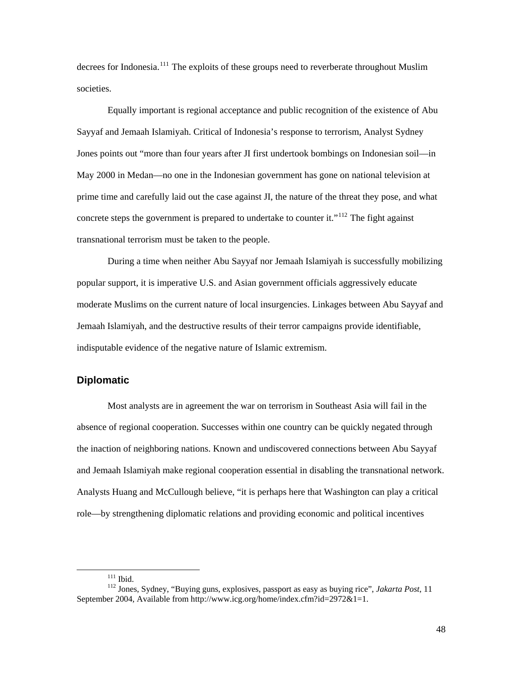<span id="page-52-0"></span>decrees for Indonesia.<sup>[111](#page-52-1)</sup> The exploits of these groups need to reverberate throughout Muslim societies.

Equally important is regional acceptance and public recognition of the existence of Abu Sayyaf and Jemaah Islamiyah. Critical of Indonesia's response to terrorism, Analyst Sydney Jones points out "more than four years after JI first undertook bombings on Indonesian soil—in May 2000 in Medan—no one in the Indonesian government has gone on national television at prime time and carefully laid out the case against JI, the nature of the threat they pose, and what concrete steps the government is prepared to undertake to counter it.<sup> $112$ </sup> The fight against transnational terrorism must be taken to the people.

During a time when neither Abu Sayyaf nor Jemaah Islamiyah is successfully mobilizing popular support, it is imperative U.S. and Asian government officials aggressively educate moderate Muslims on the current nature of local insurgencies. Linkages between Abu Sayyaf and Jemaah Islamiyah, and the destructive results of their terror campaigns provide identifiable, indisputable evidence of the negative nature of Islamic extremism.

### **Diplomatic**

Most analysts are in agreement the war on terrorism in Southeast Asia will fail in the absence of regional cooperation. Successes within one country can be quickly negated through the inaction of neighboring nations. Known and undiscovered connections between Abu Sayyaf and Jemaah Islamiyah make regional cooperation essential in disabling the transnational network. Analysts Huang and McCullough believe, "it is perhaps here that Washington can play a critical role—by strengthening diplomatic relations and providing economic and political incentives

<span id="page-52-2"></span><span id="page-52-1"></span><sup>&</sup>lt;sup>111</sup> Ibid.<br><sup>112</sup> Jones, Sydney, "Buying guns, explosives, passport as easy as buying rice", *Jakarta Post*, 11 September 2004, Available from http://www.icg.org/home/index.cfm?id=2972&1=1.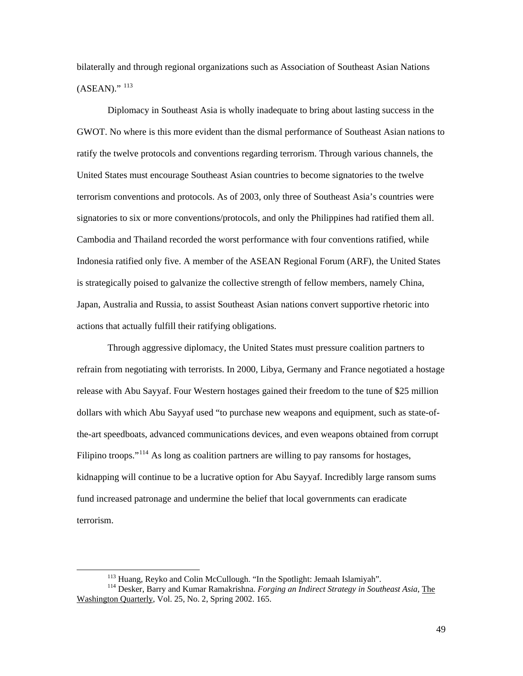bilaterally and through regional organizations such as Association of Southeast Asian Nations  $(ASEAN)$ ."  $^{113}$  $^{113}$  $^{113}$ 

Diplomacy in Southeast Asia is wholly inadequate to bring about lasting success in the GWOT. No where is this more evident than the dismal performance of Southeast Asian nations to ratify the twelve protocols and conventions regarding terrorism. Through various channels, the United States must encourage Southeast Asian countries to become signatories to the twelve terrorism conventions and protocols. As of 2003, only three of Southeast Asia's countries were signatories to six or more conventions/protocols, and only the Philippines had ratified them all. Cambodia and Thailand recorded the worst performance with four conventions ratified, while Indonesia ratified only five. A member of the ASEAN Regional Forum (ARF), the United States is strategically poised to galvanize the collective strength of fellow members, namely China, Japan, Australia and Russia, to assist Southeast Asian nations convert supportive rhetoric into actions that actually fulfill their ratifying obligations.

Through aggressive diplomacy, the United States must pressure coalition partners to refrain from negotiating with terrorists. In 2000, Libya, Germany and France negotiated a hostage release with Abu Sayyaf. Four Western hostages gained their freedom to the tune of \$25 million dollars with which Abu Sayyaf used "to purchase new weapons and equipment, such as state-ofthe-art speedboats, advanced communications devices, and even weapons obtained from corrupt Filipino troops."<sup>[114](#page-53-1)</sup> As long as coalition partners are willing to pay ransoms for hostages, kidnapping will continue to be a lucrative option for Abu Sayyaf. Incredibly large ransom sums fund increased patronage and undermine the belief that local governments can eradicate terrorism.

<span id="page-53-1"></span><span id="page-53-0"></span><sup>&</sup>lt;sup>113</sup> Huang, Reyko and Colin McCullough. "In the Spotlight: Jemaah Islamiyah".<br><sup>114</sup> Desker, Barry and Kumar Ramakrishna. *Forging an Indirect Strategy in Southeast Asia*, The Washington Quarterly, Vol. 25, No. 2, Spring 2002. 165.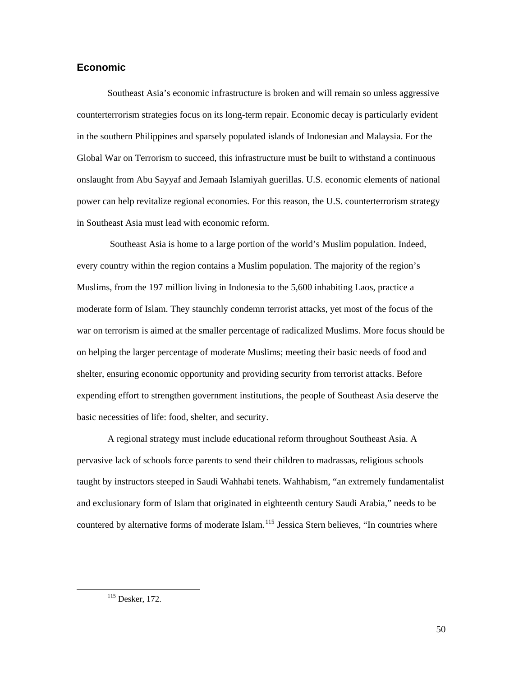### <span id="page-54-0"></span>**Economic**

Southeast Asia's economic infrastructure is broken and will remain so unless aggressive counterterrorism strategies focus on its long-term repair. Economic decay is particularly evident in the southern Philippines and sparsely populated islands of Indonesian and Malaysia. For the Global War on Terrorism to succeed, this infrastructure must be built to withstand a continuous onslaught from Abu Sayyaf and Jemaah Islamiyah guerillas. U.S. economic elements of national power can help revitalize regional economies. For this reason, the U.S. counterterrorism strategy in Southeast Asia must lead with economic reform.

 Southeast Asia is home to a large portion of the world's Muslim population. Indeed, every country within the region contains a Muslim population. The majority of the region's Muslims, from the 197 million living in Indonesia to the 5,600 inhabiting Laos, practice a moderate form of Islam. They staunchly condemn terrorist attacks, yet most of the focus of the war on terrorism is aimed at the smaller percentage of radicalized Muslims. More focus should be on helping the larger percentage of moderate Muslims; meeting their basic needs of food and shelter, ensuring economic opportunity and providing security from terrorist attacks. Before expending effort to strengthen government institutions, the people of Southeast Asia deserve the basic necessities of life: food, shelter, and security.

A regional strategy must include educational reform throughout Southeast Asia. A pervasive lack of schools force parents to send their children to madrassas, religious schools taught by instructors steeped in Saudi Wahhabi tenets. Wahhabism, "an extremely fundamentalist and exclusionary form of Islam that originated in eighteenth century Saudi Arabia," needs to be countered by alternative forms of moderate Islam.<sup>[115](#page-54-1)</sup> Jessica Stern believes, "In countries where

<span id="page-54-1"></span> <sup>115</sup> Desker, 172.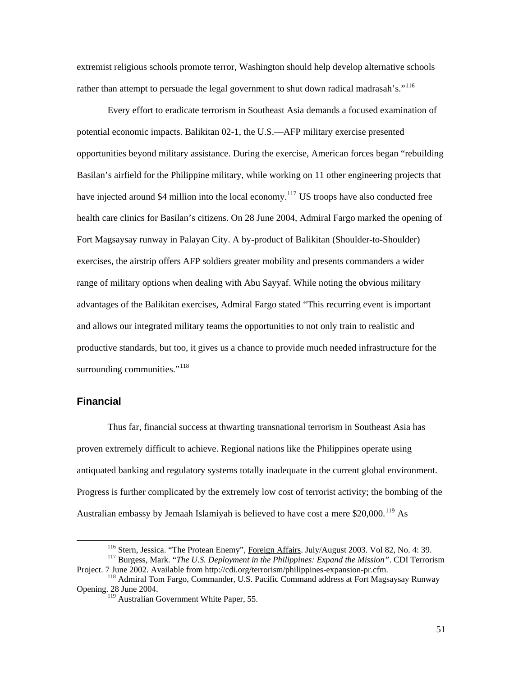<span id="page-55-0"></span>extremist religious schools promote terror, Washington should help develop alternative schools rather than attempt to persuade the legal government to shut down radical madrasah's."<sup>[116](#page-55-1)</sup>

Every effort to eradicate terrorism in Southeast Asia demands a focused examination of potential economic impacts. Balikitan 02-1, the U.S.—AFP military exercise presented opportunities beyond military assistance. During the exercise, American forces began "rebuilding Basilan's airfield for the Philippine military, while working on 11 other engineering projects that have injected around \$4 million into the local economy.<sup>[117](#page-55-2)</sup> US troops have also conducted free health care clinics for Basilan's citizens. On 28 June 2004, Admiral Fargo marked the opening of Fort Magsaysay runway in Palayan City. A by-product of Balikitan (Shoulder-to-Shoulder) exercises, the airstrip offers AFP soldiers greater mobility and presents commanders a wider range of military options when dealing with Abu Sayyaf. While noting the obvious military advantages of the Balikitan exercises, Admiral Fargo stated "This recurring event is important and allows our integrated military teams the opportunities to not only train to realistic and productive standards, but too, it gives us a chance to provide much needed infrastructure for the surrounding communities."<sup>[118](#page-55-3)</sup>

#### **Financial**

Thus far, financial success at thwarting transnational terrorism in Southeast Asia has proven extremely difficult to achieve. Regional nations like the Philippines operate using antiquated banking and regulatory systems totally inadequate in the current global environment. Progress is further complicated by the extremely low cost of terrorist activity; the bombing of the Australian embassy by Jemaah Islamiyah is believed to have cost a mere  $$20,000$ .<sup>[119](#page-55-4)</sup> As

<span id="page-55-2"></span><span id="page-55-1"></span><sup>&</sup>lt;sup>116</sup> Stern, Jessica. "The Protean Enemy", <u>Foreign Affairs</u>. July/August 2003. Vol 82, No. 4: 39.<br><sup>117</sup> Burgess, Mark. "*The U.S. Deployment in the Philippines: Expand the Mission*". CDI Terrorism<br>Project. 7 June 2002. Av

<span id="page-55-4"></span><span id="page-55-3"></span><sup>&</sup>lt;sup>118</sup> Admiral Tom Fargo, Commander, U.S. Pacific Command address at Fort Magsaysay Runway Opening. 28 June 2004.

<sup>&</sup>lt;sup>119</sup> Australian Government White Paper, 55.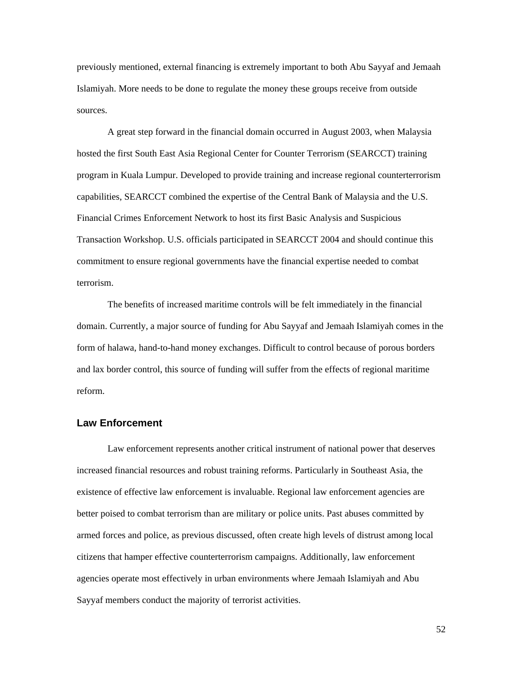<span id="page-56-0"></span>previously mentioned, external financing is extremely important to both Abu Sayyaf and Jemaah Islamiyah. More needs to be done to regulate the money these groups receive from outside sources.

A great step forward in the financial domain occurred in August 2003, when Malaysia hosted the first South East Asia Regional Center for Counter Terrorism (SEARCCT) training program in Kuala Lumpur. Developed to provide training and increase regional counterterrorism capabilities, SEARCCT combined the expertise of the Central Bank of Malaysia and the U.S. Financial Crimes Enforcement Network to host its first Basic Analysis and Suspicious Transaction Workshop. U.S. officials participated in SEARCCT 2004 and should continue this commitment to ensure regional governments have the financial expertise needed to combat terrorism.

The benefits of increased maritime controls will be felt immediately in the financial domain. Currently, a major source of funding for Abu Sayyaf and Jemaah Islamiyah comes in the form of halawa, hand-to-hand money exchanges. Difficult to control because of porous borders and lax border control, this source of funding will suffer from the effects of regional maritime reform.

#### **Law Enforcement**

Law enforcement represents another critical instrument of national power that deserves increased financial resources and robust training reforms. Particularly in Southeast Asia, the existence of effective law enforcement is invaluable. Regional law enforcement agencies are better poised to combat terrorism than are military or police units. Past abuses committed by armed forces and police, as previous discussed, often create high levels of distrust among local citizens that hamper effective counterterrorism campaigns. Additionally, law enforcement agencies operate most effectively in urban environments where Jemaah Islamiyah and Abu Sayyaf members conduct the majority of terrorist activities.

52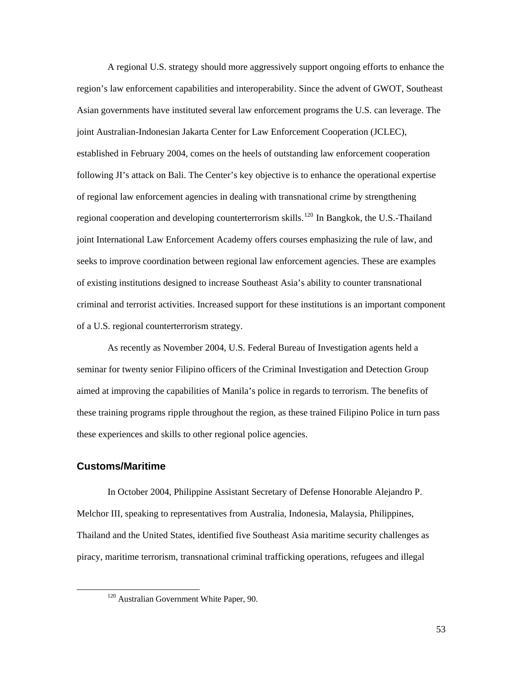<span id="page-57-0"></span>A regional U.S. strategy should more aggressively support ongoing efforts to enhance the region's law enforcement capabilities and interoperability. Since the advent of GWOT, Southeast Asian governments have instituted several law enforcement programs the U.S. can leverage. The joint Australian-Indonesian Jakarta Center for Law Enforcement Cooperation (JCLEC), established in February 2004, comes on the heels of outstanding law enforcement cooperation following JI's attack on Bali. The Center's key objective is to enhance the operational expertise of regional law enforcement agencies in dealing with transnational crime by strengthening regional cooperation and developing counterterrorism skills.<sup>[120](#page-57-1)</sup> In Bangkok, the U.S.-Thailand joint International Law Enforcement Academy offers courses emphasizing the rule of law, and seeks to improve coordination between regional law enforcement agencies. These are examples of existing institutions designed to increase Southeast Asia's ability to counter transnational criminal and terrorist activities. Increased support for these institutions is an important component of a U.S. regional counterterrorism strategy.

As recently as November 2004, U.S. Federal Bureau of Investigation agents held a seminar for twenty senior Filipino officers of the Criminal Investigation and Detection Group aimed at improving the capabilities of Manila's police in regards to terrorism. The benefits of these training programs ripple throughout the region, as these trained Filipino Police in turn pass these experiences and skills to other regional police agencies.

#### **Customs/Maritime**

In October 2004, Philippine Assistant Secretary of Defense Honorable Alejandro P. Melchor III, speaking to representatives from Australia, Indonesia, Malaysia, Philippines, Thailand and the United States, identified five Southeast Asia maritime security challenges as piracy, maritime terrorism, transnational criminal trafficking operations, refugees and illegal

<span id="page-57-1"></span> <sup>120</sup> Australian Government White Paper, 90.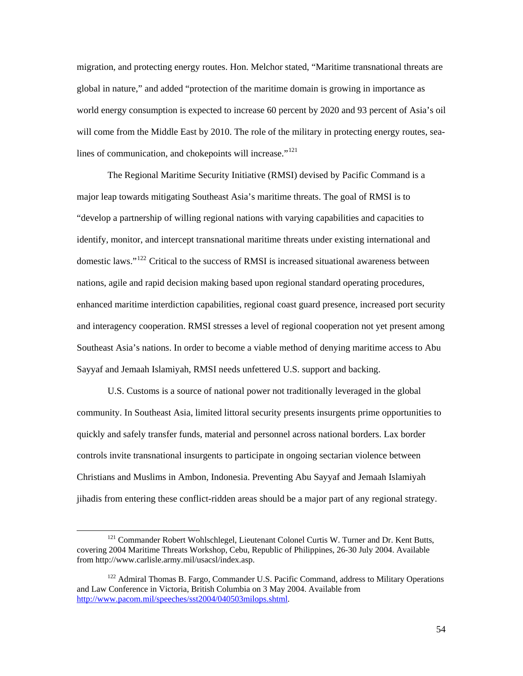migration, and protecting energy routes. Hon. Melchor stated, "Maritime transnational threats are global in nature," and added "protection of the maritime domain is growing in importance as world energy consumption is expected to increase 60 percent by 2020 and 93 percent of Asia's oil will come from the Middle East by 2010. The role of the military in protecting energy routes, sealines of communication, and chokepoints will increase." $121$ 

The Regional Maritime Security Initiative (RMSI) devised by Pacific Command is a major leap towards mitigating Southeast Asia's maritime threats. The goal of RMSI is to "develop a partnership of willing regional nations with varying capabilities and capacities to identify, monitor, and intercept transnational maritime threats under existing international and domestic laws."[122](#page-58-1) Critical to the success of RMSI is increased situational awareness between nations, agile and rapid decision making based upon regional standard operating procedures, enhanced maritime interdiction capabilities, regional coast guard presence, increased port security and interagency cooperation. RMSI stresses a level of regional cooperation not yet present among Southeast Asia's nations. In order to become a viable method of denying maritime access to Abu Sayyaf and Jemaah Islamiyah, RMSI needs unfettered U.S. support and backing.

U.S. Customs is a source of national power not traditionally leveraged in the global community. In Southeast Asia, limited littoral security presents insurgents prime opportunities to quickly and safely transfer funds, material and personnel across national borders. Lax border controls invite transnational insurgents to participate in ongoing sectarian violence between Christians and Muslims in Ambon, Indonesia. Preventing Abu Sayyaf and Jemaah Islamiyah jihadis from entering these conflict-ridden areas should be a major part of any regional strategy.

<span id="page-58-0"></span><sup>&</sup>lt;sup>121</sup> Commander Robert Wohlschlegel, Lieutenant Colonel Curtis W. Turner and Dr. Kent Butts, covering 2004 Maritime Threats Workshop, Cebu, Republic of Philippines, 26-30 July 2004. Available from http://www.carlisle.army.mil/usacsl/index.asp.

<span id="page-58-1"></span><sup>&</sup>lt;sup>122</sup> Admiral Thomas B. Fargo, Commander U.S. Pacific Command, address to Military Operations and Law Conference in Victoria, British Columbia on 3 May 2004. Available from [http://www.pacom.mil/speeches/sst2004/040503milops.shtml.](http://www.pacom.mil/speeches/sst2004/040503milops.shtml)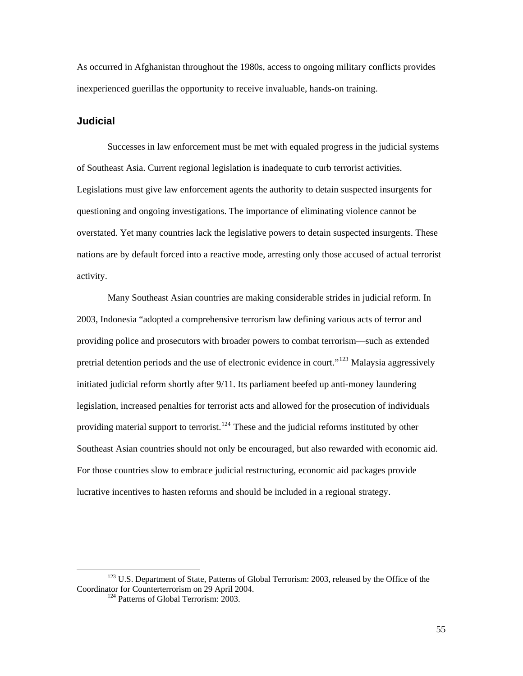<span id="page-59-0"></span>As occurred in Afghanistan throughout the 1980s, access to ongoing military conflicts provides inexperienced guerillas the opportunity to receive invaluable, hands-on training.

#### **Judicial**

Successes in law enforcement must be met with equaled progress in the judicial systems of Southeast Asia. Current regional legislation is inadequate to curb terrorist activities. Legislations must give law enforcement agents the authority to detain suspected insurgents for questioning and ongoing investigations. The importance of eliminating violence cannot be overstated. Yet many countries lack the legislative powers to detain suspected insurgents. These nations are by default forced into a reactive mode, arresting only those accused of actual terrorist activity.

Many Southeast Asian countries are making considerable strides in judicial reform. In 2003, Indonesia "adopted a comprehensive terrorism law defining various acts of terror and providing police and prosecutors with broader powers to combat terrorism—such as extended pretrial detention periods and the use of electronic evidence in court."[123](#page-59-1) Malaysia aggressively initiated judicial reform shortly after 9/11. Its parliament beefed up anti-money laundering legislation, increased penalties for terrorist acts and allowed for the prosecution of individuals providing material support to terrorist.<sup>[124](#page-59-2)</sup> These and the judicial reforms instituted by other Southeast Asian countries should not only be encouraged, but also rewarded with economic aid. For those countries slow to embrace judicial restructuring, economic aid packages provide lucrative incentives to hasten reforms and should be included in a regional strategy.

<span id="page-59-2"></span><span id="page-59-1"></span><sup>&</sup>lt;sup>123</sup> U.S. Department of State, Patterns of Global Terrorism: 2003, released by the Office of the Coordinator for Counterterrorism on 29 April 2004. 124 Patterns of Global Terrorism: 2003.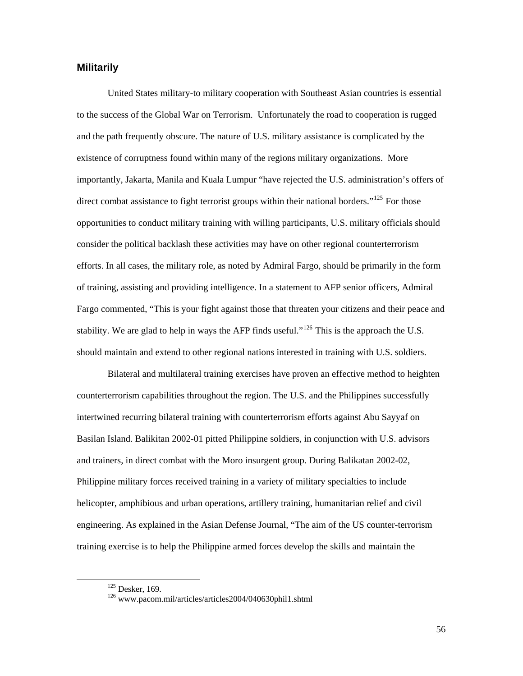### <span id="page-60-0"></span>**Militarily**

United States military-to military cooperation with Southeast Asian countries is essential to the success of the Global War on Terrorism. Unfortunately the road to cooperation is rugged and the path frequently obscure. The nature of U.S. military assistance is complicated by the existence of corruptness found within many of the regions military organizations. More importantly, Jakarta, Manila and Kuala Lumpur "have rejected the U.S. administration's offers of direct combat assistance to fight terrorist groups within their national borders."<sup>[125](#page-60-1)</sup> For those opportunities to conduct military training with willing participants, U.S. military officials should consider the political backlash these activities may have on other regional counterterrorism efforts. In all cases, the military role, as noted by Admiral Fargo, should be primarily in the form of training, assisting and providing intelligence. In a statement to AFP senior officers, Admiral Fargo commented, "This is your fight against those that threaten your citizens and their peace and stability. We are glad to help in ways the AFP finds useful."<sup>[126](#page-60-2)</sup> This is the approach the U.S. should maintain and extend to other regional nations interested in training with U.S. soldiers.

Bilateral and multilateral training exercises have proven an effective method to heighten counterterrorism capabilities throughout the region. The U.S. and the Philippines successfully intertwined recurring bilateral training with counterterrorism efforts against Abu Sayyaf on Basilan Island. Balikitan 2002-01 pitted Philippine soldiers, in conjunction with U.S. advisors and trainers, in direct combat with the Moro insurgent group. During Balikatan 2002-02, Philippine military forces received training in a variety of military specialties to include helicopter, amphibious and urban operations, artillery training, humanitarian relief and civil engineering. As explained in the Asian Defense Journal, "The aim of the US counter-terrorism training exercise is to help the Philippine armed forces develop the skills and maintain the

56

<span id="page-60-2"></span><span id="page-60-1"></span> $^{125}$  Desker, 169. 126 www.pacom.mil/articles/articles2004/040630phil1.shtml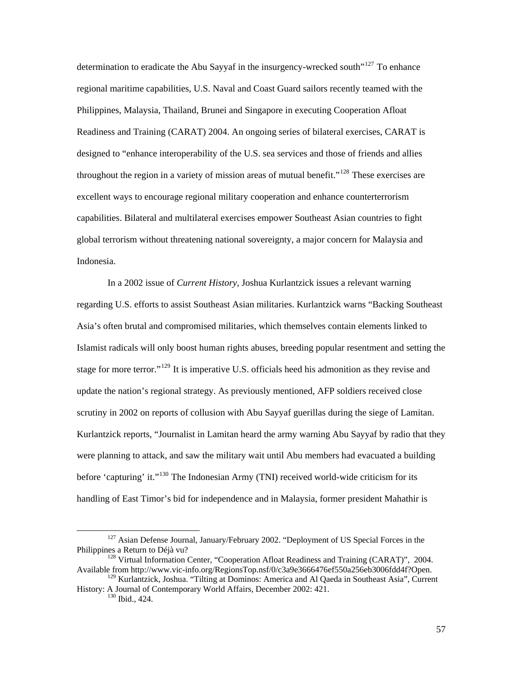determination to eradicate the Abu Sayyaf in the insurgency-wrecked south<sup> $127$ </sup> To enhance regional maritime capabilities, U.S. Naval and Coast Guard sailors recently teamed with the Philippines, Malaysia, Thailand, Brunei and Singapore in executing Cooperation Afloat Readiness and Training (CARAT) 2004. An ongoing series of bilateral exercises, CARAT is designed to "enhance interoperability of the U.S. sea services and those of friends and allies throughout the region in a variety of mission areas of mutual benefit."<sup>[128](#page-61-1)</sup> These exercises are excellent ways to encourage regional military cooperation and enhance counterterrorism capabilities. Bilateral and multilateral exercises empower Southeast Asian countries to fight global terrorism without threatening national sovereignty, a major concern for Malaysia and Indonesia.

In a 2002 issue of *Current History*, Joshua Kurlantzick issues a relevant warning regarding U.S. efforts to assist Southeast Asian militaries. Kurlantzick warns "Backing Southeast Asia's often brutal and compromised militaries, which themselves contain elements linked to Islamist radicals will only boost human rights abuses, breeding popular resentment and setting the stage for more terror."<sup>[129](#page-61-2)</sup> It is imperative U.S. officials heed his admonition as they revise and update the nation's regional strategy. As previously mentioned, AFP soldiers received close scrutiny in 2002 on reports of collusion with Abu Sayyaf guerillas during the siege of Lamitan. Kurlantzick reports, "Journalist in Lamitan heard the army warning Abu Sayyaf by radio that they were planning to attack, and saw the military wait until Abu members had evacuated a building before 'capturing' it."<sup>[130](#page-61-3)</sup> The Indonesian Army (TNI) received world-wide criticism for its handling of East Timor's bid for independence and in Malaysia, former president Mahathir is

<span id="page-61-0"></span><sup>&</sup>lt;sup>127</sup> Asian Defense Journal, January/February 2002. "Deployment of US Special Forces in the Philippines a Return to Déjà vu?

<span id="page-61-1"></span><sup>&</sup>lt;sup>128</sup> Virtual Information Center, "Cooperation Afloat Readiness and Training (CARAT)", 2004. Available from http://www.vic-info.org/RegionsTop.nsf/0/c3a9e3666476ef550a256eb3006fdd4f?Open.

<span id="page-61-3"></span><span id="page-61-2"></span><sup>&</sup>lt;sup>129</sup> Kurlantzick, Joshua. "Tilting at Dominos: America and Al Qaeda in Southeast Asia", Current History: A Journal of Contemporary World Affairs, December 2002: 421. 130 Ibid., 424.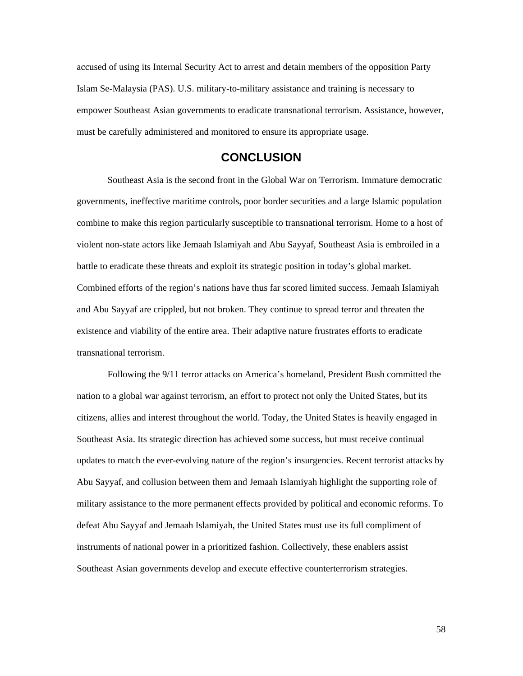<span id="page-62-0"></span>accused of using its Internal Security Act to arrest and detain members of the opposition Party Islam Se-Malaysia (PAS). U.S. military-to-military assistance and training is necessary to empower Southeast Asian governments to eradicate transnational terrorism. Assistance, however, must be carefully administered and monitored to ensure its appropriate usage.

# **CONCLUSION**

Southeast Asia is the second front in the Global War on Terrorism. Immature democratic governments, ineffective maritime controls, poor border securities and a large Islamic population combine to make this region particularly susceptible to transnational terrorism. Home to a host of violent non-state actors like Jemaah Islamiyah and Abu Sayyaf, Southeast Asia is embroiled in a battle to eradicate these threats and exploit its strategic position in today's global market. Combined efforts of the region's nations have thus far scored limited success. Jemaah Islamiyah and Abu Sayyaf are crippled, but not broken. They continue to spread terror and threaten the existence and viability of the entire area. Their adaptive nature frustrates efforts to eradicate transnational terrorism.

Following the 9/11 terror attacks on America's homeland, President Bush committed the nation to a global war against terrorism, an effort to protect not only the United States, but its citizens, allies and interest throughout the world. Today, the United States is heavily engaged in Southeast Asia. Its strategic direction has achieved some success, but must receive continual updates to match the ever-evolving nature of the region's insurgencies. Recent terrorist attacks by Abu Sayyaf, and collusion between them and Jemaah Islamiyah highlight the supporting role of military assistance to the more permanent effects provided by political and economic reforms. To defeat Abu Sayyaf and Jemaah Islamiyah, the United States must use its full compliment of instruments of national power in a prioritized fashion. Collectively, these enablers assist Southeast Asian governments develop and execute effective counterterrorism strategies.

58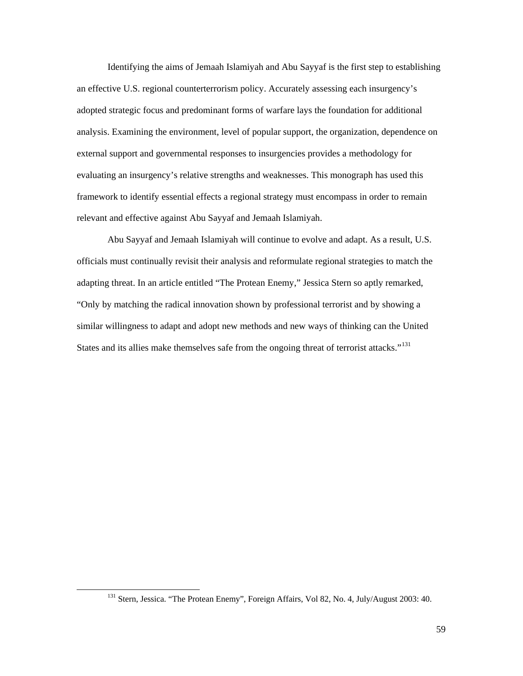Identifying the aims of Jemaah Islamiyah and Abu Sayyaf is the first step to establishing an effective U.S. regional counterterrorism policy. Accurately assessing each insurgency's adopted strategic focus and predominant forms of warfare lays the foundation for additional analysis. Examining the environment, level of popular support, the organization, dependence on external support and governmental responses to insurgencies provides a methodology for evaluating an insurgency's relative strengths and weaknesses. This monograph has used this framework to identify essential effects a regional strategy must encompass in order to remain relevant and effective against Abu Sayyaf and Jemaah Islamiyah.

Abu Sayyaf and Jemaah Islamiyah will continue to evolve and adapt. As a result, U.S. officials must continually revisit their analysis and reformulate regional strategies to match the adapting threat. In an article entitled "The Protean Enemy," Jessica Stern so aptly remarked, "Only by matching the radical innovation shown by professional terrorist and by showing a similar willingness to adapt and adopt new methods and new ways of thinking can the United States and its allies make themselves safe from the ongoing threat of terrorist attacks."<sup>[131](#page-63-0)</sup>

<span id="page-63-0"></span><sup>&</sup>lt;sup>131</sup> Stern, Jessica. "The Protean Enemy", Foreign Affairs, Vol 82, No. 4, July/August 2003: 40.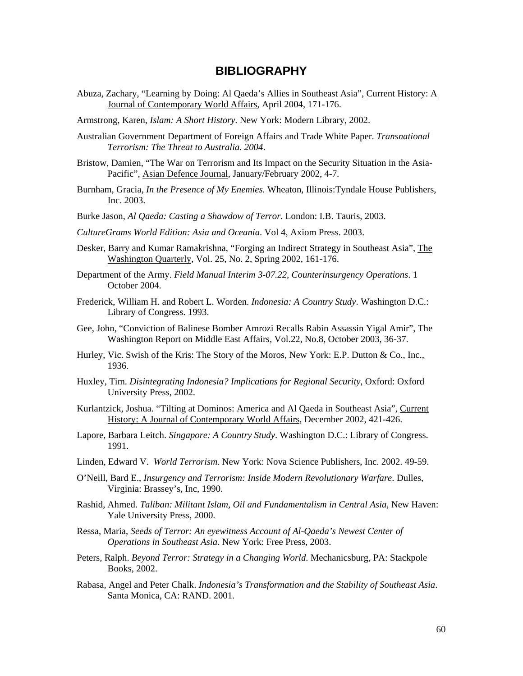# **BIBLIOGRAPHY**

- <span id="page-64-0"></span>Abuza, Zachary, "Learning by Doing: Al Qaeda's Allies in Southeast Asia", Current History: A Journal of Contemporary World Affairs, April 2004, 171-176.
- Armstrong, Karen, *Islam: A Short History*. New York: Modern Library, 2002.
- Australian Government Department of Foreign Affairs and Trade White Paper. *Transnational Terrorism: The Threat to Australia. 2004*.
- Bristow, Damien, "The War on Terrorism and Its Impact on the Security Situation in the Asia-Pacific", Asian Defence Journal, January/February 2002, 4-7.
- Burnham, Gracia, *In the Presence of My Enemies.* Wheaton, Illinois:Tyndale House Publishers, Inc. 2003.
- Burke Jason, *Al Qaeda: Casting a Shawdow of Terror.* London: I.B. Tauris, 2003.
- *CultureGrams World Edition: Asia and Oceania*. Vol 4, Axiom Press. 2003.
- Desker, Barry and Kumar Ramakrishna, "Forging an Indirect Strategy in Southeast Asia", The Washington Quarterly, Vol. 25, No. 2, Spring 2002, 161-176.
- Department of the Army. *Field Manual Interim 3-07.22, Counterinsurgency Operations*. 1 October 2004.
- Frederick, William H. and Robert L. Worden. *Indonesia: A Country Study*. Washington D.C.: Library of Congress. 1993.
- Gee, John, "Conviction of Balinese Bomber Amrozi Recalls Rabin Assassin Yigal Amir", The Washington Report on Middle East Affairs, Vol.22, No.8, October 2003, 36-37.
- Hurley, Vic. Swish of the Kris: The Story of the Moros, New York: E.P. Dutton & Co., Inc., 1936.
- Huxley, Tim. *Disintegrating Indonesia? Implications for Regional Security*, Oxford: Oxford University Press, 2002.
- Kurlantzick, Joshua. "Tilting at Dominos: America and Al Qaeda in Southeast Asia", Current History: A Journal of Contemporary World Affairs, December 2002, 421-426.
- Lapore, Barbara Leitch. *Singapore: A Country Study*. Washington D.C.: Library of Congress. 1991.
- Linden, Edward V. *World Terrorism*. New York: Nova Science Publishers, Inc. 2002. 49-59.
- O'Neill, Bard E., *Insurgency and Terrorism: Inside Modern Revolutionary Warfare*. Dulles, Virginia: Brassey's, Inc, 1990.
- Rashid, Ahmed. *Taliban: Militant Islam, Oil and Fundamentalism in Central Asia*, New Haven: Yale University Press, 2000.
- Ressa, Maria, *Seeds of Terror: An eyewitness Account of Al-Qaeda's Newest Center of Operations in Southeast Asia*. New York: Free Press, 2003.
- Peters, Ralph. *Beyond Terror: Strategy in a Changing World*. Mechanicsburg, PA: Stackpole Books, 2002.
- Rabasa, Angel and Peter Chalk. *Indonesia's Transformation and the Stability of Southeast Asia*. Santa Monica, CA: RAND. 2001.